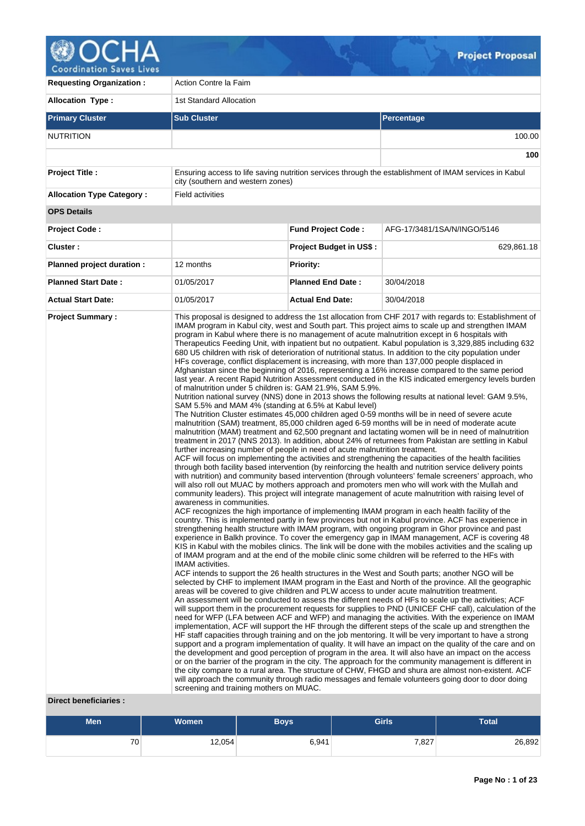

**Requesting Organization :** Action Contre la Faim **Allocation Type :** 1st Standard Allocation **Primary Cluster Sub Cluster Sub Cluster** Sub Cluster Sub Cluster Sub Cluster Sub Cluster Sub Cluster Sub Cluster NUTRITION 100.00 **100 Project Title :** Ensuring access to life saving nutrition services through the establishment of IMAM services in Kabul city (southern and western zones) **Allocation Type Category : Field activities OPS Details Project Code : Fund Project Code :** AFG-17/3481/1SA/N/INGO/5146 **Cluster :** 629,861.18 **Project Budget in US\$ :** 629,861.18 **Planned project duration :** 12 months **Planned Priority: Planned Start Date :** 01/05/2017 **Planned End Date :** 30/04/2018 **Actual Start Date:** 01/05/2017 **Actual End Date:** 30/04/2018 **Project Summary :** This proposal is designed to address the 1st allocation from CHF 2017 with regards to: Establishment of IMAM program in Kabul city, west and South part. This project aims to scale up and strengthen IMAM program in Kabul where there is no management of acute malnutrition except in 6 hospitals with Therapeutics Feeding Unit, with inpatient but no outpatient. Kabul population is 3,329,885 including 632 680 U5 children with risk of deterioration of nutritional status. In addition to the city population under HFs coverage, conflict displacement is increasing, with more than 137,000 people displaced in Afghanistan since the beginning of 2016, representing a 16% increase compared to the same period last year. A recent Rapid Nutrition Assessment conducted in the KIS indicated emergency levels burden of malnutrition under 5 children is: GAM 21.9%, SAM 5.9%. Nutrition national survey (NNS) done in 2013 shows the following results at national level: GAM 9.5%, SAM 5.5% and MAM 4% (standing at 6.5% at Kabul level) The Nutrition Cluster estimates 45,000 children aged 0-59 months will be in need of severe acute malnutrition (SAM) treatment, 85,000 children aged 6-59 months will be in need of moderate acute malnutrition (MAM) treatment and 62,500 pregnant and lactating women will be in need of malnutrition treatment in 2017 (NNS 2013). In addition, about 24% of returnees from Pakistan are settling in Kabul further increasing number of people in need of acute malnutrition treatment. ACF will focus on implementing the activities and strengthening the capacities of the health facilities through both facility based intervention (by reinforcing the health and nutrition service delivery points with nutrition) and community based intervention (through volunteers' female screeners' approach, who will also roll out MUAC by mothers approach and promoters men who will work with the Mullah and community leaders). This project will integrate management of acute malnutrition with raising level of awareness in communities. ACF recognizes the high importance of implementing IMAM program in each health facility of the country. This is implemented partly in few provinces but not in Kabul province. ACF has experience in strengthening health structure with IMAM program, with ongoing program in Ghor province and past experience in Balkh province. To cover the emergency gap in IMAM management, ACF is covering 48 KIS in Kabul with the mobiles clinics. The link will be done with the mobiles activities and the scaling up of IMAM program and at the end of the mobile clinic some children will be referred to the HFs with IMAM activities. ACF intends to support the 26 health structures in the West and South parts; another NGO will be selected by CHF to implement IMAM program in the East and North of the province. All the geographic areas will be covered to give children and PLW access to under acute malnutrition treatment. An assessment will be conducted to assess the different needs of HFs to scale up the activities; ACF will support them in the procurement requests for supplies to PND (UNICEF CHF call), calculation of the need for WFP (LFA between ACF and WFP) and managing the activities. With the experience on IMAM implementation, ACF will support the HF through the different steps of the scale up and strengthen the HF staff capacities through training and on the job mentoring. It will be very important to have a strong support and a program implementation of quality. It will have an impact on the quality of the care and on the development and good perception of program in the area. It will also have an impact on the access or on the barrier of the program in the city. The approach for the community management is different in the city compare to a rural area. The structure of CHW, FHGD and shura are almost non-existent. ACF will approach the community through radio messages and female volunteers going door to door doing screening and training mothers on MUAC.

# **Direct beneficiaries :**

| <b>Men</b>      | <b>Women</b> | <b>Boys</b> | <b>Girls</b> | <b>Total</b> |
|-----------------|--------------|-------------|--------------|--------------|
| 70 <sub>1</sub> | 12,054       | 6,941       | 7,827        | 26,892       |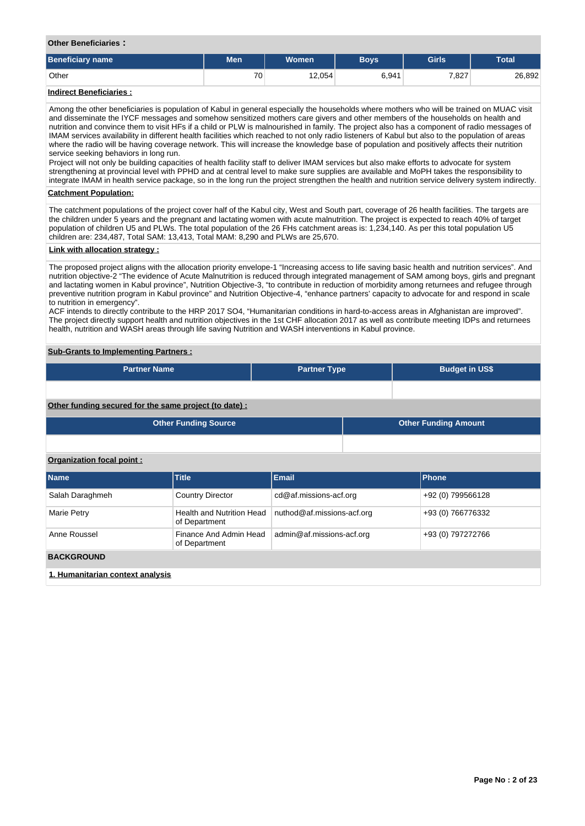# **Other Beneficiaries :**

| <b>Beneficiary name</b> | <b>Men</b> | <b>Women</b> | <b>Bovs</b> | <b>Girls</b> | <b>Total</b> |
|-------------------------|------------|--------------|-------------|--------------|--------------|
| Other                   | 70         | 12,054       | 6,941       | 7,827        | 26,892       |

# **Indirect Beneficiaries :**

Among the other beneficiaries is population of Kabul in general especially the households where mothers who will be trained on MUAC visit and disseminate the IYCF messages and somehow sensitized mothers care givers and other members of the households on health and nutrition and convince them to visit HFs if a child or PLW is malnourished in family. The project also has a component of radio messages of IMAM services availability in different health facilities which reached to not only radio listeners of Kabul but also to the population of areas where the radio will be having coverage network. This will increase the knowledge base of population and positively affects their nutrition service seeking behaviors in long run.

Project will not only be building capacities of health facility staff to deliver IMAM services but also make efforts to advocate for system strengthening at provincial level with PPHD and at central level to make sure supplies are available and MoPH takes the responsibility to integrate IMAM in health service package, so in the long run the project strengthen the health and nutrition service delivery system indirectly.

# **Catchment Population:**

The catchment populations of the project cover half of the Kabul city, West and South part, coverage of 26 health facilities. The targets are the children under 5 years and the pregnant and lactating women with acute malnutrition. The project is expected to reach 40% of target population of children U5 and PLWs. The total population of the 26 FHs catchment areas is: 1,234,140. As per this total population U5 children are: 234,487, Total SAM: 13,413, Total MAM: 8,290 and PLWs are 25,670.

#### **Link with allocation strategy :**

The proposed project aligns with the allocation priority envelope-1 "Increasing access to life saving basic health and nutrition services". And nutrition objective-2 "The evidence of Acute Malnutrition is reduced through integrated management of SAM among boys, girls and pregnant and lactating women in Kabul province", Nutrition Objective-3, "to contribute in reduction of morbidity among returnees and refugee through preventive nutrition program in Kabul province" and Nutrition Objective-4, "enhance partners' capacity to advocate for and respond in scale to nutrition in emergency".

ACF intends to directly contribute to the HRP 2017 SO4, "Humanitarian conditions in hard-to-access areas in Afghanistan are improved". The project directly support health and nutrition objectives in the 1st CHF allocation 2017 as well as contribute meeting IDPs and returnees health, nutrition and WASH areas through life saving Nutrition and WASH interventions in Kabul province.

# **Sub-Grants to Implementing Partners :**

| <b>Partner Name</b>                                   | <b>Partner Type</b> | <b>Budget in US\$</b>       |  |
|-------------------------------------------------------|---------------------|-----------------------------|--|
|                                                       |                     |                             |  |
|                                                       |                     |                             |  |
|                                                       |                     |                             |  |
| Other funding secured for the same project (to date): |                     |                             |  |
|                                                       |                     |                             |  |
| <b>Other Funding Source</b>                           |                     | <b>Other Funding Amount</b> |  |

# **Organization focal point :**

| <b>Name</b>                      | <b>Title</b>                               | Email                      | Phone             |
|----------------------------------|--------------------------------------------|----------------------------|-------------------|
| Salah Daraghmeh                  | <b>Country Director</b>                    | cd@af.missions-acf.org     | +92 (0) 799566128 |
| Marie Petry                      | Health and Nutrition Head<br>of Department | nuthod@af.missions-acf.org | +93 (0) 766776332 |
| Anne Roussel                     | Finance And Admin Head<br>of Department    | admin@af.missions-acf.org  | +93 (0) 797272766 |
| <b>BACKGROUND</b>                |                                            |                            |                   |
| 1. Humanitarian context analysis |                                            |                            |                   |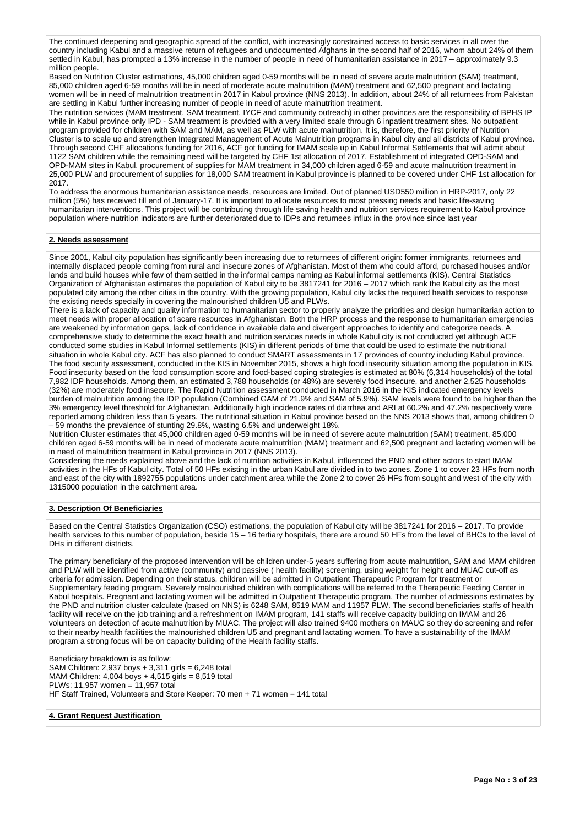The continued deepening and geographic spread of the conflict, with increasingly constrained access to basic services in all over the country including Kabul and a massive return of refugees and undocumented Afghans in the second half of 2016, whom about 24% of them settled in Kabul, has prompted a 13% increase in the number of people in need of humanitarian assistance in 2017 – approximately 9.3 million people.

Based on Nutrition Cluster estimations, 45,000 children aged 0-59 months will be in need of severe acute malnutrition (SAM) treatment, 85,000 children aged 6-59 months will be in need of moderate acute malnutrition (MAM) treatment and 62,500 pregnant and lactating women will be in need of malnutrition treatment in 2017 in Kabul province (NNS 2013). In addition, about 24% of all returnees from Pakistan are settling in Kabul further increasing number of people in need of acute malnutrition treatment.

The nutrition services (MAM treatment, SAM treatment, IYCF and community outreach) in other provinces are the responsibility of BPHS IP while in Kabul province only IPD - SAM treatment is provided with a very limited scale through 6 inpatient treatment sites. No outpatient program provided for children with SAM and MAM, as well as PLW with acute malnutrition. It is, therefore, the first priority of Nutrition Cluster is to scale up and strengthen Integrated Management of Acute Malnutrition programs in Kabul city and all districts of Kabul province. Through second CHF allocations funding for 2016, ACF got funding for IMAM scale up in Kabul Informal Settlements that will admit about 1122 SAM children while the remaining need will be targeted by CHF 1st allocation of 2017. Establishment of integrated OPD-SAM and OPD-MAM sites in Kabul, procurement of supplies for MAM treatment in 34,000 children aged 6-59 and acute malnutrition treatment in 25,000 PLW and procurement of supplies for 18,000 SAM treatment in Kabul province is planned to be covered under CHF 1st allocation for 2017.

To address the enormous humanitarian assistance needs, resources are limited. Out of planned USD550 million in HRP-2017, only 22 million (5%) has received till end of January-17. It is important to allocate resources to most pressing needs and basic life-saving humanitarian interventions. This project will be contributing through life saving health and nutrition services requirement to Kabul province population where nutrition indicators are further deteriorated due to IDPs and returnees influx in the province since last year

# **2. Needs assessment**

Since 2001, Kabul city population has significantly been increasing due to returnees of different origin: former immigrants, returnees and internally displaced people coming from rural and insecure zones of Afghanistan. Most of them who could afford, purchased houses and/or lands and build houses while few of them settled in the informal camps naming as Kabul informal settlements (KIS). Central Statistics Organization of Afghanistan estimates the population of Kabul city to be 3817241 for 2016 – 2017 which rank the Kabul city as the most populated city among the other cities in the country. With the growing population, Kabul city lacks the required health services to response the existing needs specially in covering the malnourished children U5 and PLWs.

There is a lack of capacity and quality information to humanitarian sector to properly analyze the priorities and design humanitarian action to meet needs with proper allocation of scare resources in Afghanistan. Both the HRP process and the response to humanitarian emergencies are weakened by information gaps, lack of confidence in available data and divergent approaches to identify and categorize needs. A comprehensive study to determine the exact health and nutrition services needs in whole Kabul city is not conducted yet although ACF conducted some studies in Kabul Informal settlements (KIS) in different periods of time that could be used to estimate the nutritional situation in whole Kabul city. ACF has also planned to conduct SMART assessments in 17 provinces of country including Kabul province. The food security assessment, conducted in the KIS in November 2015, shows a high food insecurity situation among the population in KIS. Food insecurity based on the food consumption score and food-based coping strategies is estimated at 80% (6,314 households) of the total 7,982 IDP households. Among them, an estimated 3,788 households (or 48%) are severely food insecure, and another 2,525 households (32%) are moderately food insecure. The Rapid Nutrition assessment conducted in March 2016 in the KIS indicated emergency levels burden of malnutrition among the IDP population (Combined GAM of 21.9% and SAM of 5.9%). SAM levels were found to be higher than the 3% emergency level threshold for Afghanistan. Additionally high incidence rates of diarrhea and ARI at 60.2% and 47.2% respectively were reported among children less than 5 years. The nutritional situation in Kabul province based on the NNS 2013 shows that, among children 0 – 59 months the prevalence of stunting 29.8%, wasting 6.5% and underweight 18%.

Nutrition Cluster estimates that 45,000 children aged 0-59 months will be in need of severe acute malnutrition (SAM) treatment, 85,000 children aged 6-59 months will be in need of moderate acute malnutrition (MAM) treatment and 62,500 pregnant and lactating women will be in need of malnutrition treatment in Kabul province in 2017 (NNS 2013).

Considering the needs explained above and the lack of nutrition activities in Kabul, influenced the PND and other actors to start IMAM activities in the HFs of Kabul city. Total of 50 HFs existing in the urban Kabul are divided in to two zones. Zone 1 to cover 23 HFs from north and east of the city with 1892755 populations under catchment area while the Zone 2 to cover 26 HFs from sought and west of the city with 1315000 population in the catchment area.

#### **3. Description Of Beneficiaries**

Based on the Central Statistics Organization (CSO) estimations, the population of Kabul city will be 3817241 for 2016 – 2017. To provide health services to this number of population, beside 15 – 16 tertiary hospitals, there are around 50 HFs from the level of BHCs to the level of DHs in different districts.

The primary beneficiary of the proposed intervention will be children under-5 years suffering from acute malnutrition, SAM and MAM children and PLW will be identified from active (community) and passive ( health facility) screening, using weight for height and MUAC cut-off as criteria for admission. Depending on their status, children will be admitted in Outpatient Therapeutic Program for treatment or Supplementary feeding program. Severely malnourished children with complications will be referred to the Therapeutic Feeding Center in Kabul hospitals. Pregnant and lactating women will be admitted in Outpatient Therapeutic program. The number of admissions estimates by the PND and nutrition cluster calculate (based on NNS) is 6248 SAM, 8519 MAM and 11957 PLW. The second beneficiaries staffs of health facility will receive on the job training and a refreshment on IMAM program, 141 staffs will receive capacity building on IMAM and 26 volunteers on detection of acute malnutrition by MUAC. The project will also trained 9400 mothers on MAUC so they do screening and refer to their nearby health facilities the malnourished children U5 and pregnant and lactating women. To have a sustainability of the IMAM program a strong focus will be on capacity building of the Health facility staffs.

Beneficiary breakdown is as follow: SAM Children: 2,937 boys + 3,311 girls = 6,248 total MAM Children: 4,004 boys + 4,515 girls = 8,519 total PLWs: 11,957 women = 11,957 total HF Staff Trained, Volunteers and Store Keeper: 70 men + 71 women = 141 total

# **4. Grant Request Justification**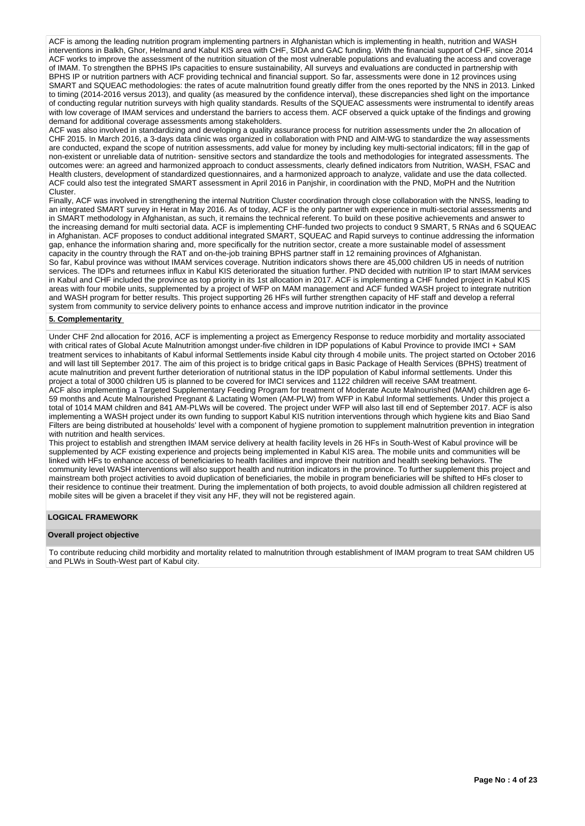ACF is among the leading nutrition program implementing partners in Afghanistan which is implementing in health, nutrition and WASH interventions in Balkh, Ghor, Helmand and Kabul KIS area with CHF, SIDA and GAC funding. With the financial support of CHF, since 2014 ACF works to improve the assessment of the nutrition situation of the most vulnerable populations and evaluating the access and coverage of IMAM. To strengthen the BPHS IPs capacities to ensure sustainability, All surveys and evaluations are conducted in partnership with BPHS IP or nutrition partners with ACF providing technical and financial support. So far, assessments were done in 12 provinces using SMART and SQUEAC methodologies: the rates of acute malnutrition found greatly differ from the ones reported by the NNS in 2013. Linked to timing (2014-2016 versus 2013), and quality (as measured by the confidence interval), these discrepancies shed light on the importance of conducting regular nutrition surveys with high quality standards. Results of the SQUEAC assessments were instrumental to identify areas with low coverage of IMAM services and understand the barriers to access them. ACF observed a quick uptake of the findings and growing demand for additional coverage assessments among stakeholders.

ACF was also involved in standardizing and developing a quality assurance process for nutrition assessments under the 2n allocation of CHF 2015. In March 2016, a 3-days data clinic was organized in collaboration with PND and AIM-WG to standardize the way assessments are conducted, expand the scope of nutrition assessments, add value for money by including key multi-sectorial indicators; fill in the gap of non-existent or unreliable data of nutrition- sensitive sectors and standardize the tools and methodologies for integrated assessments. The outcomes were: an agreed and harmonized approach to conduct assessments, clearly defined indicators from Nutrition, WASH, FSAC and Health clusters, development of standardized questionnaires, and a harmonized approach to analyze, validate and use the data collected. ACF could also test the integrated SMART assessment in April 2016 in Panjshir, in coordination with the PND, MoPH and the Nutrition Cluster.

Finally, ACF was involved in strengthening the internal Nutrition Cluster coordination through close collaboration with the NNSS, leading to an integrated SMART survey in Herat in May 2016. As of today, ACF is the only partner with experience in multi-sectorial assessments and in SMART methodology in Afghanistan, as such, it remains the technical referent. To build on these positive achievements and answer to the increasing demand for multi sectorial data. ACF is implementing CHF-funded two projects to conduct 9 SMART, 5 RNAs and 6 SQUEAC in Afghanistan. ACF proposes to conduct additional integrated SMART, SQUEAC and Rapid surveys to continue addressing the information gap, enhance the information sharing and, more specifically for the nutrition sector, create a more sustainable model of assessment capacity in the country through the RAT and on-the-job training BPHS partner staff in 12 remaining provinces of Afghanistan. So far, Kabul province was without IMAM services coverage. Nutrition indicators shows there are 45,000 children U5 in needs of nutrition services. The IDPs and returnees influx in Kabul KIS deteriorated the situation further. PND decided with nutrition IP to start IMAM services

in Kabul and CHF included the province as top priority in its 1st allocation in 2017. ACF is implementing a CHF funded project in Kabul KIS areas with four mobile units, supplemented by a project of WFP on MAM management and ACF funded WASH project to integrate nutrition and WASH program for better results. This project supporting 26 HFs will further strengthen capacity of HF staff and develop a referral system from community to service delivery points to enhance access and improve nutrition indicator in the province

# **5. Complementarity**

Under CHF 2nd allocation for 2016, ACF is implementing a project as Emergency Response to reduce morbidity and mortality associated with critical rates of Global Acute Malnutrition amongst under-five children in IDP populations of Kabul Province to provide IMCI + SAM treatment services to inhabitants of Kabul informal Settlements inside Kabul city through 4 mobile units. The project started on October 2016 and will last till September 2017. The aim of this project is to bridge critical gaps in Basic Package of Health Services (BPHS) treatment of acute malnutrition and prevent further deterioration of nutritional status in the IDP population of Kabul informal settlements. Under this project a total of 3000 children U5 is planned to be covered for IMCI services and 1122 children will receive SAM treatment. ACF also implementing a Targeted Supplementary Feeding Program for treatment of Moderate Acute Malnourished (MAM) children age 6- 59 months and Acute Malnourished Pregnant & Lactating Women (AM-PLW) from WFP in Kabul Informal settlements. Under this project a total of 1014 MAM children and 841 AM-PLWs will be covered. The project under WFP will also last till end of September 2017. ACF is also implementing a WASH project under its own funding to support Kabul KIS nutrition interventions through which hygiene kits and Biao Sand Filters are being distributed at households' level with a component of hygiene promotion to supplement malnutrition prevention in integration with nutrition and health services.

This project to establish and strengthen IMAM service delivery at health facility levels in 26 HFs in South-West of Kabul province will be supplemented by ACF existing experience and projects being implemented in Kabul KIS area. The mobile units and communities will be linked with HFs to enhance access of beneficiaries to health facilities and improve their nutrition and health seeking behaviors. The community level WASH interventions will also support health and nutrition indicators in the province. To further supplement this project and mainstream both project activities to avoid duplication of beneficiaries, the mobile in program beneficiaries will be shifted to HFs closer to their residence to continue their treatment. During the implementation of both projects, to avoid double admission all children registered at mobile sites will be given a bracelet if they visit any HF, they will not be registered again.

#### **LOGICAL FRAMEWORK**

#### **Overall project objective**

To contribute reducing child morbidity and mortality related to malnutrition through establishment of IMAM program to treat SAM children U5 and PLWs in South-West part of Kabul city.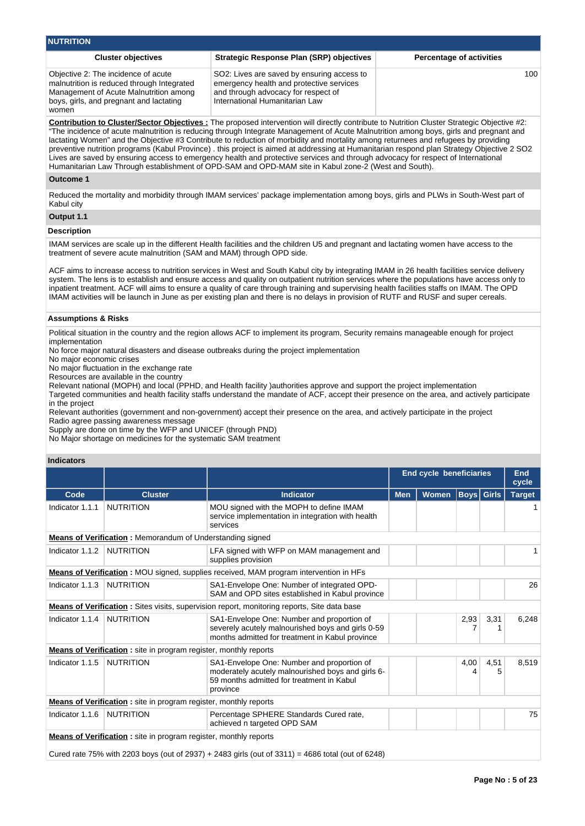| <b>NUTRITION</b>                                                                                                                                                                |                                                                                                                                                                                                                                                                                                                                                                                                                                                                                                                                                                                                                                                                                                                                                                                                                      |                                 |
|---------------------------------------------------------------------------------------------------------------------------------------------------------------------------------|----------------------------------------------------------------------------------------------------------------------------------------------------------------------------------------------------------------------------------------------------------------------------------------------------------------------------------------------------------------------------------------------------------------------------------------------------------------------------------------------------------------------------------------------------------------------------------------------------------------------------------------------------------------------------------------------------------------------------------------------------------------------------------------------------------------------|---------------------------------|
| <b>Cluster objectives</b>                                                                                                                                                       | Strategic Response Plan (SRP) objectives                                                                                                                                                                                                                                                                                                                                                                                                                                                                                                                                                                                                                                                                                                                                                                             | <b>Percentage of activities</b> |
| Objective 2: The incidence of acute<br>malnutrition is reduced through Integrated<br>Management of Acute Malnutrition among<br>boys, girls, and pregnant and lactating<br>women | SO2: Lives are saved by ensuring access to<br>emergency health and protective services<br>and through advocacy for respect of<br>International Humanitarian Law                                                                                                                                                                                                                                                                                                                                                                                                                                                                                                                                                                                                                                                      | 100                             |
|                                                                                                                                                                                 | Contribution to Cluster/Sector Objectives : The proposed intervention will directly contribute to Nutrition Cluster Strategic Objective #2:<br>"The incidence of acute malnutrition is reducing through Integrate Management of Acute Malnutrition among boys, girls and pregnant and<br>lactating Women" and the Objective #3 Contribute to reduction of morbidity and mortality among returnees and refugees by providing<br>preventive nutrition programs (Kabul Province). this project is aimed at addressing at Humanitarian respond plan Strategy Objective 2 SO2<br>Lives are saved by ensuring access to emergency health and protective services and through advocacy for respect of International<br>Humanitarian Law Through establishment of OPD-SAM and OPD-MAM site in Kabul zone-2 (West and South). |                                 |
| Outcome 1                                                                                                                                                                       |                                                                                                                                                                                                                                                                                                                                                                                                                                                                                                                                                                                                                                                                                                                                                                                                                      |                                 |
| Kabul city                                                                                                                                                                      | Reduced the mortality and morbidity through IMAM services' package implementation among boys, girls and PLWs in South-West part of                                                                                                                                                                                                                                                                                                                                                                                                                                                                                                                                                                                                                                                                                   |                                 |
| Output 1.1                                                                                                                                                                      |                                                                                                                                                                                                                                                                                                                                                                                                                                                                                                                                                                                                                                                                                                                                                                                                                      |                                 |
| <b>Description</b>                                                                                                                                                              |                                                                                                                                                                                                                                                                                                                                                                                                                                                                                                                                                                                                                                                                                                                                                                                                                      |                                 |
| treatment of severe acute malnutrition (SAM and MAM) through OPD side.                                                                                                          | IMAM services are scale up in the different Health facilities and the children U5 and pregnant and lactating women have access to the                                                                                                                                                                                                                                                                                                                                                                                                                                                                                                                                                                                                                                                                                |                                 |
|                                                                                                                                                                                 | ACF aims to increase access to nutrition services in West and South Kabul city by integrating IMAM in 26 health facilities service delivery<br>system. The lens is to establish and ensure access and quality on outpatient nutrition services where the populations have access only to<br>inpotiont tractmont. ACE will gime to encure a quality of care through training and cupervising boalth facilities staffs on IMAM. The OPD                                                                                                                                                                                                                                                                                                                                                                                |                                 |

inpatient treatment. ACF will aims to ensure a quality of care through training and supervising health facilities staffs on IMAM. The OPD IMAM activities will be launch in June as per existing plan and there is no delays in provision of RUTF and RUSF and super cereals.

### **Assumptions & Risks**

Political situation in the country and the region allows ACF to implement its program, Security remains manageable enough for project implementation

No force major natural disasters and disease outbreaks during the project implementation

No major economic crises

No major fluctuation in the exchange rate

Resources are available in the country

Relevant national (MOPH) and local (PPHD, and Health facility )authorities approve and support the project implementation

Targeted communities and health facility staffs understand the mandate of ACF, accept their presence on the area, and actively participate in the project

Relevant authorities (government and non-government) accept their presence on the area, and actively participate in the project Radio agree passing awareness message

Supply are done on time by the WFP and UNICEF (through PND)

No Major shortage on medicines for the systematic SAM treatment

# **Indicators**

|                 |                                                                          |                                                                                                                                                          |            | <b>End cycle beneficiaries</b> |                   |           | End<br>cycle  |
|-----------------|--------------------------------------------------------------------------|----------------------------------------------------------------------------------------------------------------------------------------------------------|------------|--------------------------------|-------------------|-----------|---------------|
| Code            | <b>Cluster</b>                                                           | <b>Indicator</b>                                                                                                                                         | <b>Men</b> | <b>Women</b>                   | <b>Boys</b> Girls |           | <b>Target</b> |
| Indicator 1.1.1 | <b>NUTRITION</b>                                                         | MOU signed with the MOPH to define IMAM<br>service implementation in integration with health<br>services                                                 |            |                                |                   |           |               |
|                 |                                                                          | <b>Means of Verification:</b> Memorandum of Understanding signed                                                                                         |            |                                |                   |           |               |
| Indicator 1.1.2 | <b>NUTRITION</b>                                                         | LFA signed with WFP on MAM management and<br>supplies provision                                                                                          |            |                                |                   |           |               |
|                 |                                                                          | <b>Means of Verification</b> : MOU signed, supplies received, MAM program intervention in HFs                                                            |            |                                |                   |           |               |
| Indicator 1.1.3 | <b>NUTRITION</b>                                                         | SA1-Envelope One: Number of integrated OPD-<br>SAM and OPD sites established in Kabul province                                                           |            |                                |                   |           | 26            |
|                 |                                                                          | <b>Means of Verification:</b> Sites visits, supervision report, monitoring reports, Site data base                                                       |            |                                |                   |           |               |
| Indicator 1.1.4 | <b>NUTRITION</b>                                                         | SA1-Envelope One: Number and proportion of<br>severely acutely malnourished boys and girls 0-59<br>months admitted for treatment in Kabul province       |            |                                | 2,93<br>7         | 3,31      | 6,248         |
|                 | <b>Means of Verification</b> : site in program register, monthly reports |                                                                                                                                                          |            |                                |                   |           |               |
| Indicator 1.1.5 | <b>NUTRITION</b>                                                         | SA1-Envelope One: Number and proportion of<br>moderately acutely malnourished boys and girls 6-<br>59 months admitted for treatment in Kabul<br>province |            |                                | 4,00<br>4         | 4,51<br>5 | 8.519         |
|                 | <b>Means of Verification</b> : site in program register, monthly reports |                                                                                                                                                          |            |                                |                   |           |               |
| Indicator 1.1.6 | <b>NUTRITION</b>                                                         |                                                                                                                                                          |            |                                |                   | 75        |               |
|                 | <b>Means of Verification</b> : site in program register, monthly reports |                                                                                                                                                          |            |                                |                   |           |               |

Cured rate 75% with 2203 boys (out of 2937) + 2483 girls (out of 3311) = 4686 total (out of 6248)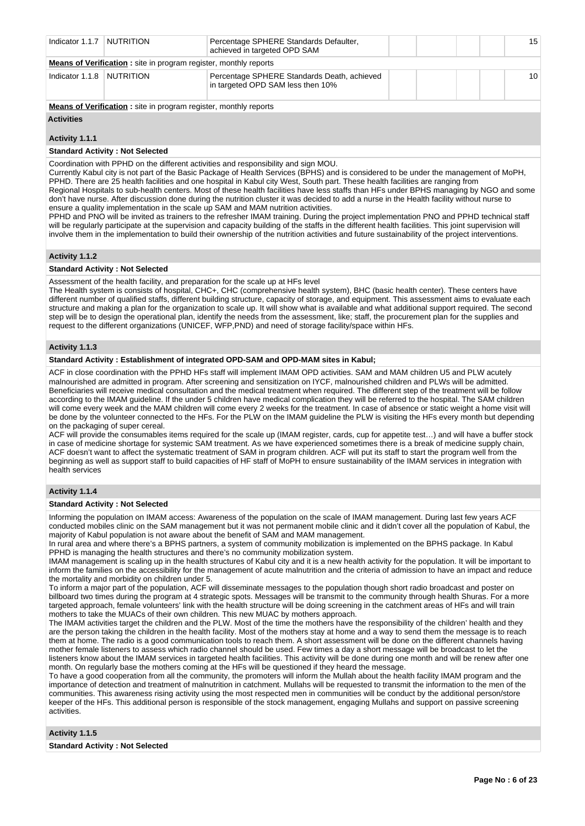| Indicator 1.1.7   NUTRITION |                                                                         | Percentage SPHERE Standards Defaulter,<br>achieved in targeted OPD SAM           |  |  | 15 |
|-----------------------------|-------------------------------------------------------------------------|----------------------------------------------------------------------------------|--|--|----|
|                             | <b>Means of Verification:</b> site in program register, monthly reports |                                                                                  |  |  |    |
| Indicator 1.1.8   NUTRITION |                                                                         | Percentage SPHERE Standards Death, achieved<br>in targeted OPD SAM less then 10% |  |  | 10 |
|                             | <b>Means of Verification:</b> site in program register, monthly reports |                                                                                  |  |  |    |

#### **Activities**

**Activity 1.1.1** 

#### **Standard Activity : Not Selected**

Coordination with PPHD on the different activities and responsibility and sign MOU.

Currently Kabul city is not part of the Basic Package of Health Services (BPHS) and is considered to be under the management of MoPH, PPHD. There are 25 health facilities and one hospital in Kabul city West, South part. These health facilities are ranging from Regional Hospitals to sub-health centers. Most of these health facilities have less staffs than HFs under BPHS managing by NGO and some don't have nurse. After discussion done during the nutrition cluster it was decided to add a nurse in the Health facility without nurse to ensure a quality implementation in the scale up SAM and MAM nutrition activities.

PPHD and PNO will be invited as trainers to the refresher IMAM training. During the project implementation PNO and PPHD technical staff will be regularly participate at the supervision and capacity building of the staffs in the different health facilities. This joint supervision will involve them in the implementation to build their ownership of the nutrition activities and future sustainability of the project interventions.

# **Activity 1.1.2**

#### **Standard Activity : Not Selected**

Assessment of the health facility, and preparation for the scale up at HFs level

The Health system is consists of hospital, CHC+, CHC (comprehensive health system), BHC (basic health center). These centers have different number of qualified staffs, different building structure, capacity of storage, and equipment. This assessment aims to evaluate each structure and making a plan for the organization to scale up. It will show what is available and what additional support required. The second step will be to design the operational plan, identify the needs from the assessment, like; staff, the procurement plan for the supplies and request to the different organizations (UNICEF, WFP,PND) and need of storage facility/space within HFs.

# **Activity 1.1.3**

# **Standard Activity : Establishment of integrated OPD-SAM and OPD-MAM sites in Kabul;**

ACF in close coordination with the PPHD HFs staff will implement IMAM OPD activities. SAM and MAM children U5 and PLW acutely malnourished are admitted in program. After screening and sensitization on IYCF, malnourished children and PLWs will be admitted. Beneficiaries will receive medical consultation and the medical treatment when required. The different step of the treatment will be follow according to the IMAM guideline. If the under 5 children have medical complication they will be referred to the hospital. The SAM children will come every week and the MAM children will come every 2 weeks for the treatment. In case of absence or static weight a home visit will be done by the volunteer connected to the HFs. For the PLW on the IMAM guideline the PLW is visiting the HFs every month but depending on the packaging of super cereal.

ACF will provide the consumables items required for the scale up (IMAM register, cards, cup for appetite test…) and will have a buffer stock in case of medicine shortage for systemic SAM treatment. As we have experienced sometimes there is a break of medicine supply chain, ACF doesn't want to affect the systematic treatment of SAM in program children. ACF will put its staff to start the program well from the beginning as well as support staff to build capacities of HF staff of MoPH to ensure sustainability of the IMAM services in integration with health services

# **Activity 1.1.4**

#### **Standard Activity : Not Selected**

Informing the population on IMAM access: Awareness of the population on the scale of IMAM management. During last few years ACF conducted mobiles clinic on the SAM management but it was not permanent mobile clinic and it didn't cover all the population of Kabul, the majority of Kabul population is not aware about the benefit of SAM and MAM management.

In rural area and where there's a BPHS partners, a system of community mobilization is implemented on the BPHS package. In Kabul PPHD is managing the health structures and there's no community mobilization system.

IMAM management is scaling up in the health structures of Kabul city and it is a new health activity for the population. It will be important to inform the families on the accessibility for the management of acute malnutrition and the criteria of admission to have an impact and reduce the mortality and morbidity on children under 5.

To inform a major part of the population, ACF will disseminate messages to the population though short radio broadcast and poster on billboard two times during the program at 4 strategic spots. Messages will be transmit to the community through health Shuras. For a more targeted approach, female volunteers' link with the health structure will be doing screening in the catchment areas of HFs and will train mothers to take the MUACs of their own children. This new MUAC by mothers approach.

The IMAM activities target the children and the PLW. Most of the time the mothers have the responsibility of the children' health and they are the person taking the children in the health facility. Most of the mothers stay at home and a way to send them the message is to reach them at home. The radio is a good communication tools to reach them. A short assessment will be done on the different channels having mother female listeners to assess which radio channel should be used. Few times a day a short message will be broadcast to let the listeners know about the IMAM services in targeted health facilities. This activity will be done during one month and will be renew after one month. On regularly base the mothers coming at the HFs will be questioned if they heard the message.

To have a good cooperation from all the community, the promoters will inform the Mullah about the health facility IMAM program and the importance of detection and treatment of malnutrition in catchment. Mullahs will be requested to transmit the information to the men of the communities. This awareness rising activity using the most respected men in communities will be conduct by the additional person/store keeper of the HFs. This additional person is responsible of the stock management, engaging Mullahs and support on passive screening activities.

**Activity 1.1.5** 

#### **Standard Activity : Not Selected**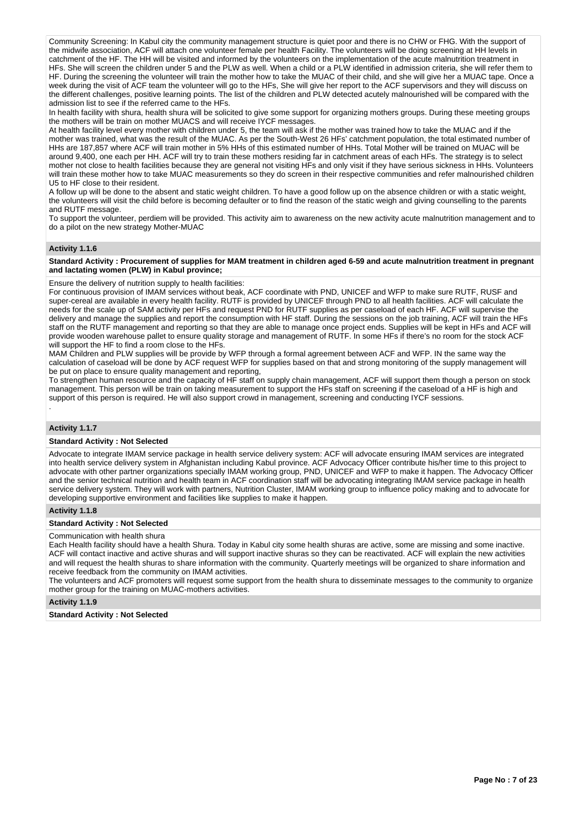Community Screening: In Kabul city the community management structure is quiet poor and there is no CHW or FHG. With the support of the midwife association, ACF will attach one volunteer female per health Facility. The volunteers will be doing screening at HH levels in catchment of the HF. The HH will be visited and informed by the volunteers on the implementation of the acute malnutrition treatment in HFs. She will screen the children under 5 and the PLW as well. When a child or a PLW identified in admission criteria, she will refer them to HF. During the screening the volunteer will train the mother how to take the MUAC of their child, and she will give her a MUAC tape. Once a week during the visit of ACF team the volunteer will go to the HFs. She will give her report to the ACF supervisors and they will discuss on the different challenges, positive learning points. The list of the children and PLW detected acutely malnourished will be compared with the admission list to see if the referred came to the HFs.

In health facility with shura, health shura will be solicited to give some support for organizing mothers groups. During these meeting groups the mothers will be train on mother MUACS and will receive IYCF messages.

At health facility level every mother with children under 5, the team will ask if the mother was trained how to take the MUAC and if the mother was trained, what was the result of the MUAC. As per the South-West 26 HFs' catchment population, the total estimated number of HHs are 187,857 where ACF will train mother in 5% HHs of this estimated number of HHs. Total Mother will be trained on MUAC will be around 9,400, one each per HH. ACF will try to train these mothers residing far in catchment areas of each HFs. The strategy is to select mother not close to health facilities because they are general not visiting HFs and only visit if they have serious sickness in HHs. Volunteers will train these mother how to take MUAC measurements so they do screen in their respective communities and refer malnourished children U5 to HF close to their resident.

A follow up will be done to the absent and static weight children. To have a good follow up on the absence children or with a static weight, the volunteers will visit the child before is becoming defaulter or to find the reason of the static weigh and giving counselling to the parents and RUTF message.

To support the volunteer, perdiem will be provided. This activity aim to awareness on the new activity acute malnutrition management and to do a pilot on the new strategy Mother-MUAC

#### **Activity 1.1.6**

**Standard Activity : Procurement of supplies for MAM treatment in children aged 6-59 and acute malnutrition treatment in pregnant and lactating women (PLW) in Kabul province;**

Ensure the delivery of nutrition supply to health facilities:

For continuous provision of IMAM services without beak, ACF coordinate with PND, UNICEF and WFP to make sure RUTF, RUSF and super-cereal are available in every health facility. RUTF is provided by UNICEF through PND to all health facilities. ACF will calculate the needs for the scale up of SAM activity per HFs and request PND for RUTF supplies as per caseload of each HF. ACF will supervise the delivery and manage the supplies and report the consumption with HF staff. During the sessions on the job training, ACF will train the HFs staff on the RUTF management and reporting so that they are able to manage once project ends. Supplies will be kept in HFs and ACF will provide wooden warehouse pallet to ensure quality storage and management of RUTF. In some HFs if there's no room for the stock ACF will support the HF to find a room close to the HFs.

MAM Children and PLW supplies will be provide by WFP through a formal agreement between ACF and WFP. IN the same way the calculation of caseload will be done by ACF request WFP for supplies based on that and strong monitoring of the supply management will be put on place to ensure quality management and reporting,

To strengthen human resource and the capacity of HF staff on supply chain management, ACF will support them though a person on stock management. This person will be train on taking measurement to support the HFs staff on screening if the caseload of a HF is high and support of this person is required. He will also support crowd in management, screening and conducting IYCF sessions. .

# **Activity 1.1.7**

#### **Standard Activity : Not Selected**

Advocate to integrate IMAM service package in health service delivery system: ACF will advocate ensuring IMAM services are integrated into health service delivery system in Afghanistan including Kabul province. ACF Advocacy Officer contribute his/her time to this project to advocate with other partner organizations specially IMAM working group, PND, UNICEF and WFP to make it happen. The Advocacy Officer and the senior technical nutrition and health team in ACF coordination staff will be advocating integrating IMAM service package in health service delivery system. They will work with partners, Nutrition Cluster, IMAM working group to influence policy making and to advocate for developing supportive environment and facilities like supplies to make it happen.

# **Activity 1.1.8**

#### **Standard Activity : Not Selected**

#### Communication with health shura

Each Health facility should have a health Shura. Today in Kabul city some health shuras are active, some are missing and some inactive. ACF will contact inactive and active shuras and will support inactive shuras so they can be reactivated. ACF will explain the new activities and will request the health shuras to share information with the community. Quarterly meetings will be organized to share information and receive feedback from the community on IMAM activities.

The volunteers and ACF promoters will request some support from the health shura to disseminate messages to the community to organize mother group for the training on MUAC-mothers activities.

#### **Activity 1.1.9**

#### **Standard Activity : Not Selected**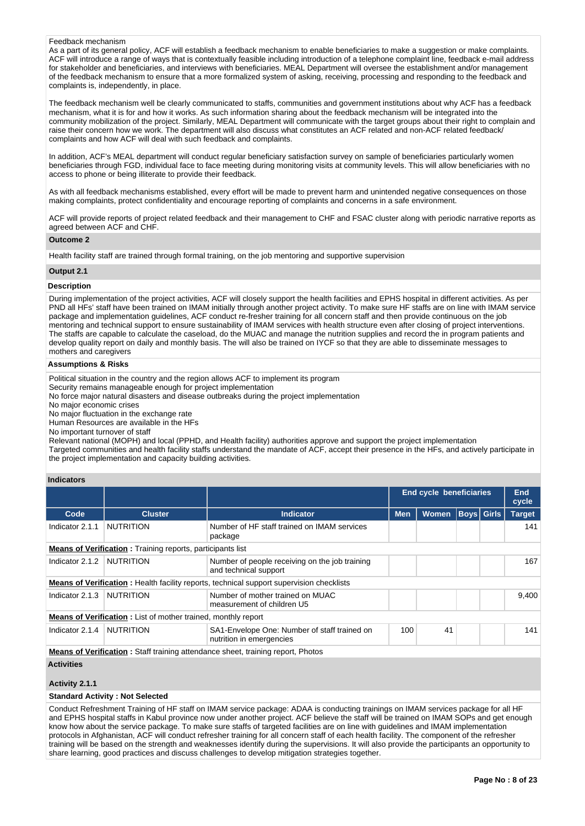#### Feedback mechanism

As a part of its general policy. ACF will establish a feedback mechanism to enable beneficiaries to make a suggestion or make complaints. ACF will introduce a range of ways that is contextually feasible including introduction of a telephone complaint line, feedback e-mail address for stakeholder and beneficiaries, and interviews with beneficiaries. MEAL Department will oversee the establishment and/or management of the feedback mechanism to ensure that a more formalized system of asking, receiving, processing and responding to the feedback and complaints is, independently, in place.

The feedback mechanism well be clearly communicated to staffs, communities and government institutions about why ACF has a feedback mechanism, what it is for and how it works. As such information sharing about the feedback mechanism will be integrated into the community mobilization of the project. Similarly, MEAL Department will communicate with the target groups about their right to complain and raise their concern how we work. The department will also discuss what constitutes an ACF related and non-ACF related feedback/ complaints and how ACF will deal with such feedback and complaints.

In addition, ACF's MEAL department will conduct regular beneficiary satisfaction survey on sample of beneficiaries particularly women beneficiaries through FGD, individual face to face meeting during monitoring visits at community levels. This will allow beneficiaries with no access to phone or being illiterate to provide their feedback.

As with all feedback mechanisms established, every effort will be made to prevent harm and unintended negative consequences on those making complaints, protect confidentiality and encourage reporting of complaints and concerns in a safe environment.

ACF will provide reports of project related feedback and their management to CHF and FSAC cluster along with periodic narrative reports as agreed between ACF and CHF.

# **Outcome 2**

Health facility staff are trained through formal training, on the job mentoring and supportive supervision

# **Output 2.1**

#### **Description**

During implementation of the project activities, ACF will closely support the health facilities and EPHS hospital in different activities. As per PND all HFs' staff have been trained on IMAM initially through another project activity. To make sure HF staffs are on line with IMAM service package and implementation guidelines, ACF conduct re-fresher training for all concern staff and then provide continuous on the job mentoring and technical support to ensure sustainability of IMAM services with health structure even after closing of project interventions. The staffs are capable to calculate the caseload, do the MUAC and manage the nutrition supplies and record the in program patients and develop quality report on daily and monthly basis. The will also be trained on IYCF so that they are able to disseminate messages to mothers and caregivers

# **Assumptions & Risks**

Political situation in the country and the region allows ACF to implement its program

Security remains manageable enough for project implementation

No force major natural disasters and disease outbreaks during the project implementation

No major economic crises

No major fluctuation in the exchange rate

Human Resources are available in the HFs

No important turnover of staff

Relevant national (MOPH) and local (PPHD, and Health facility) authorities approve and support the project implementation

Targeted communities and health facility staffs understand the mandate of ACF, accept their presence in the HFs, and actively participate in the project implementation and capacity building activities.

#### **Indicators**

|                                                                                        |                                                                                              |                                                                                                 |            | <b>End cycle beneficiaries</b> |             |  | End<br>cycle  |  |
|----------------------------------------------------------------------------------------|----------------------------------------------------------------------------------------------|-------------------------------------------------------------------------------------------------|------------|--------------------------------|-------------|--|---------------|--|
| Code                                                                                   | <b>Cluster</b>                                                                               | <b>Indicator</b>                                                                                | <b>Men</b> | <b>Women</b>                   | Boys  Girls |  | <b>Target</b> |  |
| Indicator 2.1.1                                                                        | <b>NUTRITION</b>                                                                             | Number of HF staff trained on IMAM services<br>package                                          |            |                                |             |  | 141           |  |
|                                                                                        | <b>Means of Verification:</b> Training reports, participants list                            |                                                                                                 |            |                                |             |  |               |  |
| Indicator 2.1.2                                                                        | <b>NUTRITION</b>                                                                             | Number of people receiving on the job training<br>and technical support                         |            |                                |             |  | 167           |  |
|                                                                                        |                                                                                              | <b>Means of Verification:</b> Health facility reports, technical support supervision checklists |            |                                |             |  |               |  |
| Indicator $2.1.3$                                                                      | <b>NUTRITION</b>                                                                             | Number of mother trained on MUAC<br>measurement of children U5                                  |            |                                |             |  | 9.400         |  |
|                                                                                        | <b>Means of Verification:</b> List of mother trained, monthly report                         |                                                                                                 |            |                                |             |  |               |  |
| Indicator 2.1.4                                                                        | <b>NUTRITION</b><br>SA1-Envelope One: Number of staff trained on<br>nutrition in emergencies |                                                                                                 | 100        | 41                             |             |  | 141           |  |
| <b>Means of Verification:</b> Staff training attendance sheet, training report, Photos |                                                                                              |                                                                                                 |            |                                |             |  |               |  |
| <b>Activities</b>                                                                      |                                                                                              |                                                                                                 |            |                                |             |  |               |  |

# **Activity 2.1.1**

**Standard Activity : Not Selected**

Conduct Refreshment Training of HF staff on IMAM service package: ADAA is conducting trainings on IMAM services package for all HF and EPHS hospital staffs in Kabul province now under another project. ACF believe the staff will be trained on IMAM SOPs and get enough know how about the service package. To make sure staffs of targeted facilities are on line with guidelines and IMAM implementation protocols in Afghanistan, ACF will conduct refresher training for all concern staff of each health facility. The component of the refresher training will be based on the strength and weaknesses identify during the supervisions. It will also provide the participants an opportunity to share learning, good practices and discuss challenges to develop mitigation strategies together.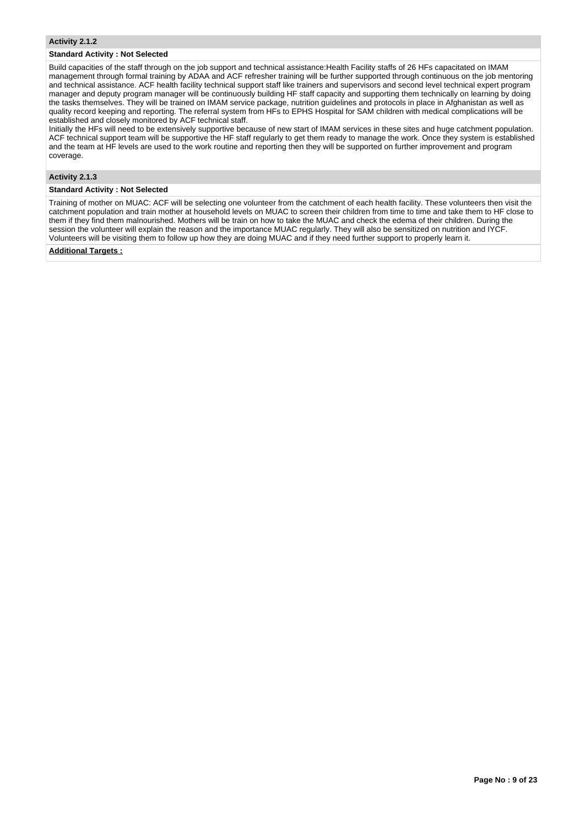#### **Standard Activity : Not Selected**

Build capacities of the staff through on the job support and technical assistance:Health Facility staffs of 26 HFs capacitated on IMAM management through formal training by ADAA and ACF refresher training will be further supported through continuous on the job mentoring and technical assistance. ACF health facility technical support staff like trainers and supervisors and second level technical expert program manager and deputy program manager will be continuously building HF staff capacity and supporting them technically on learning by doing the tasks themselves. They will be trained on IMAM service package, nutrition guidelines and protocols in place in Afghanistan as well as quality record keeping and reporting. The referral system from HFs to EPHS Hospital for SAM children with medical complications will be established and closely monitored by ACF technical staff.

Initially the HFs will need to be extensively supportive because of new start of IMAM services in these sites and huge catchment population. ACF technical support team will be supportive the HF staff regularly to get them ready to manage the work. Once they system is established and the team at HF levels are used to the work routine and reporting then they will be supported on further improvement and program coverage.

# **Activity 2.1.3**

# **Standard Activity : Not Selected**

Training of mother on MUAC: ACF will be selecting one volunteer from the catchment of each health facility. These volunteers then visit the catchment population and train mother at household levels on MUAC to screen their children from time to time and take them to HF close to them if they find them malnourished. Mothers will be train on how to take the MUAC and check the edema of their children. During the session the volunteer will explain the reason and the importance MUAC regularly. They will also be sensitized on nutrition and IYCF. Volunteers will be visiting them to follow up how they are doing MUAC and if they need further support to properly learn it.

# **Additional Targets :**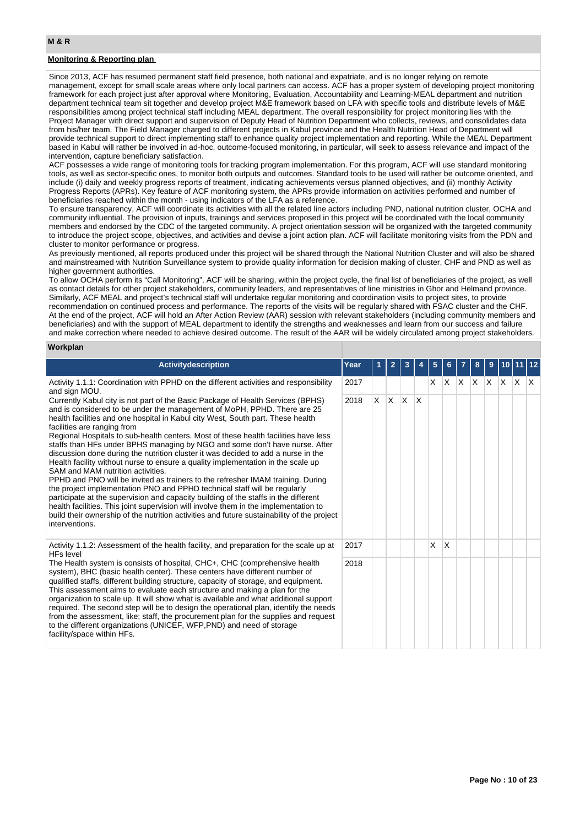# **Monitoring & Reporting plan**

Since 2013, ACF has resumed permanent staff field presence, both national and expatriate, and is no longer relying on remote management, except for small scale areas where only local partners can access. ACF has a proper system of developing project monitoring framework for each project just after approval where Monitoring, Evaluation, Accountability and Learning-MEAL department and nutrition department technical team sit together and develop project M&E framework based on LFA with specific tools and distribute levels of M&E responsibilities among project technical staff including MEAL department. The overall responsibility for project monitoring lies with the Project Manager with direct support and supervision of Deputy Head of Nutrition Department who collects, reviews, and consolidates data from his/her team. The Field Manager charged to different projects in Kabul province and the Health Nutrition Head of Department will provide technical support to direct implementing staff to enhance quality project implementation and reporting. While the MEAL Department based in Kabul will rather be involved in ad-hoc, outcome-focused monitoring, in particular, will seek to assess relevance and impact of the intervention, capture beneficiary satisfaction.

ACF possesses a wide range of monitoring tools for tracking program implementation. For this program, ACF will use standard monitoring tools, as well as sector-specific ones, to monitor both outputs and outcomes. Standard tools to be used will rather be outcome oriented, and include (i) daily and weekly progress reports of treatment, indicating achievements versus planned objectives, and (ii) monthly Activity Progress Reports (APRs). Key feature of ACF monitoring system, the APRs provide information on activities performed and number of beneficiaries reached within the month - using indicators of the LFA as a reference.

To ensure transparency, ACF will coordinate its activities with all the related line actors including PND, national nutrition cluster, OCHA and community influential. The provision of inputs, trainings and services proposed in this project will be coordinated with the local community members and endorsed by the CDC of the targeted community. A project orientation session will be organized with the targeted community to introduce the project scope, objectives, and activities and devise a joint action plan. ACF will facilitate monitoring visits from the PDN and cluster to monitor performance or progress.

As previously mentioned, all reports produced under this project will be shared through the National Nutrition Cluster and will also be shared and mainstreamed with Nutrition Surveillance system to provide quality information for decision making of cluster, CHF and PND as well as higher government authorities.

To allow OCHA perform its "Call Monitoring", ACF will be sharing, within the project cycle, the final list of beneficiaries of the project, as well as contact details for other project stakeholders, community leaders, and representatives of line ministries in Ghor and Helmand province. Similarly, ACF MEAL and project's technical staff will undertake regular monitoring and coordination visits to project sites, to provide recommendation on continued process and performance. The reports of the visits will be regularly shared with FSAC cluster and the CHF. At the end of the project, ACF will hold an After Action Review (AAR) session with relevant stakeholders (including community members and beneficiaries) and with the support of MEAL department to identify the strengths and weaknesses and learn from our success and failure and make correction where needed to achieve desired outcome. The result of the AAR will be widely circulated among project stakeholders.

# **Workplan**

| Activitydescription                                                                                                                                                                                                                                                                                                                                                                                                                                                                                                                                                                                                                                                                                                                                                                                                                                                                                                                                                                                                                                                                                                              | Year |    | $\overline{2}$ | 3   |     | 5  | 6  |     | 8            | 9 | $10$   11 |     | $ 12\rangle$ |
|----------------------------------------------------------------------------------------------------------------------------------------------------------------------------------------------------------------------------------------------------------------------------------------------------------------------------------------------------------------------------------------------------------------------------------------------------------------------------------------------------------------------------------------------------------------------------------------------------------------------------------------------------------------------------------------------------------------------------------------------------------------------------------------------------------------------------------------------------------------------------------------------------------------------------------------------------------------------------------------------------------------------------------------------------------------------------------------------------------------------------------|------|----|----------------|-----|-----|----|----|-----|--------------|---|-----------|-----|--------------|
| Activity 1.1.1: Coordination with PPHD on the different activities and responsibility<br>and sign MOU.                                                                                                                                                                                                                                                                                                                                                                                                                                                                                                                                                                                                                                                                                                                                                                                                                                                                                                                                                                                                                           | 2017 |    |                |     |     | X. | X. | ΙX. | $\mathsf{X}$ | X | <b>X</b>  | ΙX. | $\mathsf{X}$ |
| Currently Kabul city is not part of the Basic Package of Health Services (BPHS)<br>and is considered to be under the management of MoPH, PPHD. There are 25<br>health facilities and one hospital in Kabul city West, South part. These health<br>facilities are ranging from<br>Regional Hospitals to sub-health centers. Most of these health facilities have less<br>staffs than HFs under BPHS managing by NGO and some don't have nurse. After<br>discussion done during the nutrition cluster it was decided to add a nurse in the<br>Health facility without nurse to ensure a quality implementation in the scale up<br>SAM and MAM nutrition activities.<br>PPHD and PNO will be invited as trainers to the refresher IMAM training. During<br>the project implementation PNO and PPHD technical staff will be regularly<br>participate at the supervision and capacity building of the staffs in the different<br>health facilities. This joint supervision will involve them in the implementation to<br>build their ownership of the nutrition activities and future sustainability of the project<br>interventions. | 2018 | X. | X.             | ΙX. | ΙX. |    |    |     |              |   |           |     |              |
| Activity 1.1.2: Assessment of the health facility, and preparation for the scale up at<br><b>HFs level</b>                                                                                                                                                                                                                                                                                                                                                                                                                                                                                                                                                                                                                                                                                                                                                                                                                                                                                                                                                                                                                       | 2017 |    |                |     |     | X  | X  |     |              |   |           |     |              |
| The Health system is consists of hospital, CHC+, CHC (comprehensive health<br>system), BHC (basic health center). These centers have different number of<br>qualified staffs, different building structure, capacity of storage, and equipment.<br>This assessment aims to evaluate each structure and making a plan for the<br>organization to scale up. It will show what is available and what additional support<br>required. The second step will be to design the operational plan, identify the needs<br>from the assessment, like; staff, the procurement plan for the supplies and request<br>to the different organizations (UNICEF, WFP, PND) and need of storage<br>facility/space within HFs.                                                                                                                                                                                                                                                                                                                                                                                                                       | 2018 |    |                |     |     |    |    |     |              |   |           |     |              |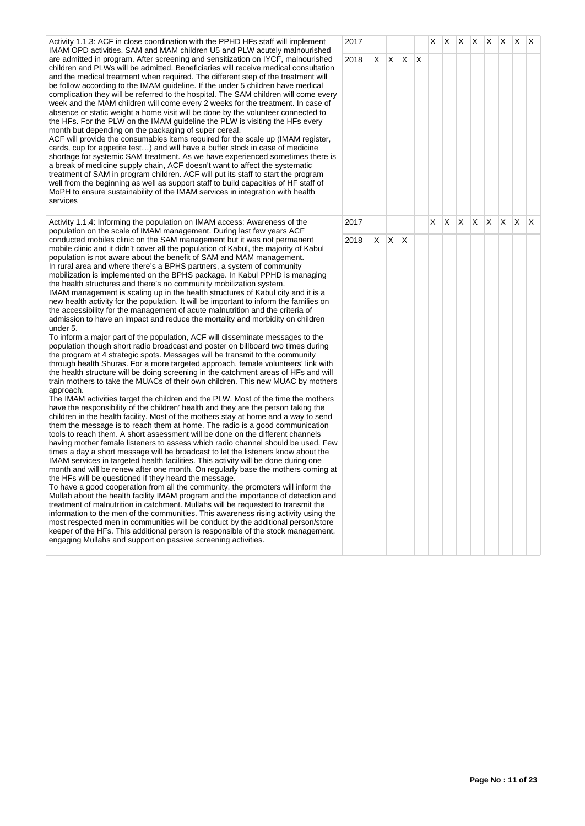Activity 1.1.3: ACF in close coordination with the PPHD HFs staff will implement IMAM OPD activities. SAM and MAM children U5 and PLW acutely malnourished are admitted in program. After screening and sensitization on IYCF, malnourished children and PLWs will be admitted. Beneficiaries will receive medical consultation and the medical treatment when required. The different step of the treatment will be follow according to the IMAM guideline. If the under 5 children have medical complication they will be referred to the hospital. The SAM children will come ever week and the MAM children will come every 2 weeks for the treatment. In case of absence or static weight a home visit will be done by the volunteer connected to the HFs. For the PLW on the IMAM guideline the PLW is visiting the HFs every month but depending on the packaging of super cereal. ACF will provide the consumables items required for the scale up (IMAM register,

cards, cup for appetite test…) and will have a buffer stock in case of medicine shortage for systemic SAM treatment. As we have experienced sometimes there a break of medicine supply chain, ACF doesn't want to affect the systematic treatment of SAM in program children. ACF will put its staff to start the program well from the beginning as well as support staff to build capacities of HF staff of MoPH to ensure sustainability of the IMAM services in integration with health services

Activity 1.1.4: Informing the population on IMAM access: Awareness of the population on the scale of IMAM management. During last few years ACF conducted mobiles clinic on the SAM management but it was not permanent mobile clinic and it didn't cover all the population of Kabul, the majority of Kabul population is not aware about the benefit of SAM and MAM management. In rural area and where there's a BPHS partners, a system of community mobilization is implemented on the BPHS package. In Kabul PPHD is managing the health structures and there's no community mobilization system. IMAM management is scaling up in the health structures of Kabul city and it is a new health activity for the population. It will be important to inform the families on

the accessibility for the management of acute malnutrition and the criteria of admission to have an impact and reduce the mortality and morbidity on children under 5.

To inform a major part of the population, ACF will disseminate messages to the population though short radio broadcast and poster on billboard two times during the program at 4 strategic spots. Messages will be transmit to the community through health Shuras. For a more targeted approach, female volunteers' link with the health structure will be doing screening in the catchment areas of HFs and will train mothers to take the MUACs of their own children. This new MUAC by mother approach.

The IMAM activities target the children and the PLW. Most of the time the mothers have the responsibility of the children' health and they are the person taking the children in the health facility. Most of the mothers stay at home and a way to send them the message is to reach them at home. The radio is a good communication tools to reach them. A short assessment will be done on the different channels having mother female listeners to assess which radio channel should be used. Fe times a day a short message will be broadcast to let the listeners know about the IMAM services in targeted health facilities. This activity will be done during one month and will be renew after one month. On regularly base the mothers coming the HFs will be questioned if they heard the message.

To have a good cooperation from all the community, the promoters will inform the Mullah about the health facility IMAM program and the importance of detection an treatment of malnutrition in catchment. Mullahs will be requested to transmit the information to the men of the communities. This awareness rising activity using the most respected men in communities will be conduct by the additional person/store keeper of the HFs. This additional person is responsible of the stock management engaging Mullahs and support on passive screening activities.

|              | 2017 |                         |             |             |                | $\mathsf{x}$            | $X \mid X$ |                         | $\mathsf{X}$ | $\vert x \vert$         | $\mathsf{X}$            | $\mathsf X$             | X |  |
|--------------|------|-------------------------|-------------|-------------|----------------|-------------------------|------------|-------------------------|--------------|-------------------------|-------------------------|-------------------------|---|--|
| l<br>∩       | 2018 | $\overline{\mathsf{X}}$ | $\mathsf X$ | $\mathsf X$ | $\pmb{\times}$ |                         |            |                         |              |                         |                         |                         |   |  |
| ry           |      |                         |             |             |                |                         |            |                         |              |                         |                         |                         |   |  |
|              |      |                         |             |             |                |                         |            |                         |              |                         |                         |                         |   |  |
| is           |      |                         |             |             |                |                         |            |                         |              |                         |                         |                         |   |  |
|              |      |                         |             |             |                |                         |            |                         |              |                         |                         |                         |   |  |
|              |      |                         |             |             |                |                         |            |                         |              |                         |                         |                         |   |  |
|              | 2017 |                         |             |             |                | $\overline{\mathsf{x}}$ | X          | $\overline{\mathsf{x}}$ | X            | $\overline{\mathsf{x}}$ | $\overline{\mathsf{x}}$ | $\overline{\mathsf{x}}$ | X |  |
| ו<br>I       | 2018 | $\mathsf X$             | $\mathsf X$ | $\mathsf X$ |                |                         |            |                         |              |                         |                         |                         |   |  |
| rs<br>S      |      |                         |             |             |                |                         |            |                         |              |                         |                         |                         |   |  |
| I.           |      |                         |             |             |                |                         |            |                         |              |                         |                         |                         |   |  |
| W            |      |                         |             |             |                |                         |            |                         |              |                         |                         |                         |   |  |
| at           |      |                         |             |             |                |                         |            |                         |              |                         |                         |                         |   |  |
| d            |      |                         |             |             |                |                         |            |                         |              |                         |                         |                         |   |  |
| e<br>e<br>t, |      |                         |             |             |                |                         |            |                         |              |                         |                         |                         |   |  |
|              |      |                         |             |             |                |                         |            |                         |              |                         |                         |                         |   |  |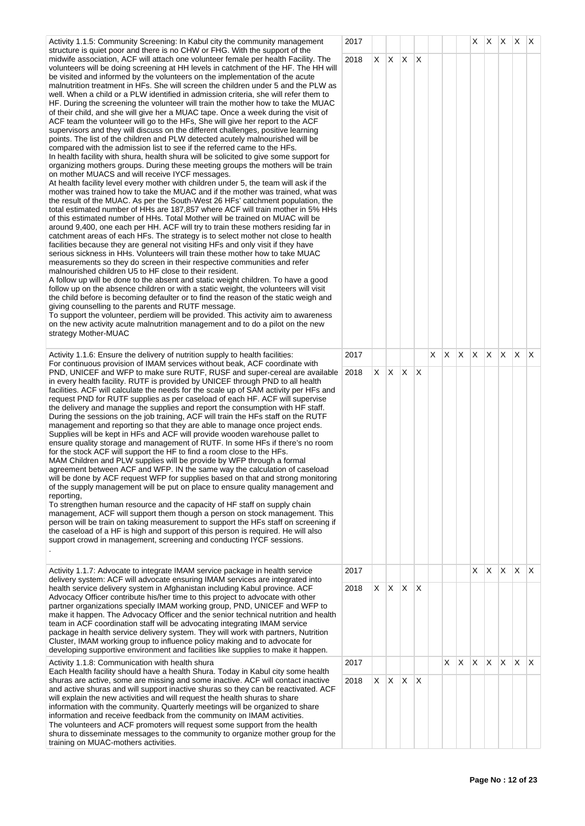Activity 1.1.5: Community Screening: In Kabul city the community management structure is quiet poor and there is no CHW or FHG. With the support of the midwife association, ACF will attach one volunteer female per health Facility. The volunteers will be doing screening at HH levels in catchment of the HF. The HH will be visited and informed by the volunteers on the implementation of the acute malnutrition treatment in HFs. She will screen the children under 5 and the PLW as well. When a child or a PLW identified in admission criteria, she will refer them to HF. During the screening the volunteer will train the mother how to take the MUAC of their child, and she will give her a MUAC tape. Once a week during the visit of ACF team the volunteer will go to the HFs, She will give her report to the ACF supervisors and they will discuss on the different challenges, positive learning points. The list of the children and PLW detected acutely malnourished will be compared with the admission list to see if the referred came to the HFs. In health facility with shura, health shura will be solicited to give some support for organizing mothers groups. During these meeting groups the mothers will be train on mother MUACS and will receive IYCF messages. At health facility level every mother with children under 5, the team will ask if the mother was trained how to take the MUAC and if the mother was trained, what was the result of the MUAC. As per the South-West 26 HFs' catchment population, the total estimated number of HHs are 187,857 where ACF will train mother in 5% HHs of this estimated number of HHs. Total Mother will be trained on MUAC will be around 9,400, one each per HH. ACF will try to train these mothers residing far in catchment areas of each HFs. The strategy is to select mother not close to health facilities because they are general not visiting HFs and only visit if they have serious sickness in HHs. Volunteers will train these mother how to take MUAC measurements so they do screen in their respective communities and refer malnourished children U5 to HF close to their resident. A follow up will be done to the absent and static weight children. To have a good follow up on the absence children or with a static weight, the volunteers will visit the child before is becoming defaulter or to find the reason of the static weigh and giving counselling to the parents and RUTF message. To support the volunteer, perdiem will be provided. This activity aim to awareness on the new activity acute malnutrition management and to do a pilot on the new strategy Mother-MUAC Activity 1.1.6: Ensure the delivery of nutrition supply to health facilities: For continuous provision of IMAM services without beak, ACF coordinate with PND, UNICEF and WFP to make sure RUTF, RUSF and super-cereal are available in every health facility. RUTF is provided by UNICEF through PND to all health facilities. ACF will calculate the needs for the scale up of SAM activity per HFs and request PND for RUTF supplies as per caseload of each HF. ACF will supervise the delivery and manage the supplies and report the consumption with HF staff. During the sessions on the job training, ACF will train the HFs staff on the RUTF management and reporting so that they are able to manage once project ends. Supplies will be kept in HFs and ACF will provide wooden warehouse pallet to ensure quality storage and management of RUTF. In some HFs if there's no room for the stock ACF will support the HF to find a room close to the HFs. MAM Children and PLW supplies will be provide by WFP through a formal agreement between ACF and WFP. IN the same way the calculation of caseload will be done by ACF request WFP for supplies based on that and strong monitoring of the supply management will be put on place to ensure quality management and reporting, To strengthen human resource and the capacity of HF staff on supply chain management, ACF will support them though a person on stock management. This person will be train on taking measurement to support the HFs staff on screening if the caseload of a HF is high and support of this person is required. He will also support crowd in management, screening and conducting IYCF sessions. . Activity 1.1.7: Advocate to integrate IMAM service package in health service delivery system: ACF will advocate ensuring IMAM services are integrated into health service delivery system in Afghanistan including Kabul province. ACF Advocacy Officer contribute his/her time to this project to advocate with other partner organizations specially IMAM working group, PND, UNICEF and WFP to make it happen. The Advocacy Officer and the senior technical nutrition and health team in ACF coordination staff will be advocating integrating IMAM service package in health service delivery system. They will work with partners, Nutrition Cluster, IMAM working group to influence policy making and to advocate for developing supportive environment and facilities like supplies to make it happen. Activity 1.1.8: Communication with health shura Each Health facility should have a health Shura. Today in Kabul city some health shuras are active, some are missing and some inactive. ACF will contact inactive and active shuras and will support inactive shuras so they can be reactivated. ACF will explain the new activities and will request the health shuras to share information with the community. Quarterly meetings will be organized to share information and receive feedback from the community on IMAM activities.

The volunteers and ACF promoters will request some support from the health shura to disseminate messages to the community to organize mother group for the

training on MUAC-mothers activities.

| 2017         |                         |                         |                         |                         |                         |                         |                | X,                      | X                       | X.                      | X.                      | $\mathsf{X}$            |
|--------------|-------------------------|-------------------------|-------------------------|-------------------------|-------------------------|-------------------------|----------------|-------------------------|-------------------------|-------------------------|-------------------------|-------------------------|
| 2018<br>2017 | $\mathsf X$             | $\overline{X}$          | $\overline{\mathsf{x}}$ | $\mathsf X$             | $\overline{\mathsf{x}}$ | $\overline{\mathsf{X}}$ | $\overline{X}$ | $\overline{\mathsf{X}}$ | $\overline{\mathsf{X}}$ | $\overline{\mathsf{x}}$ | $\overline{\mathsf{X}}$ | $\overline{\mathsf{x}}$ |
|              |                         |                         |                         |                         |                         |                         |                |                         |                         |                         |                         |                         |
| 2018         | X                       | $\overline{\mathsf{x}}$ | $\overline{\mathsf{x}}$ | $\overline{\mathsf{x}}$ |                         |                         |                |                         |                         |                         |                         |                         |
| 2017         |                         |                         |                         |                         |                         |                         |                | $\overline{\mathsf{X}}$ | $\overline{X}$          | $\mathsf X$             | $\mathsf X$             | $\mathsf X$             |
| 2018         | $\overline{\mathsf{X}}$ | $\overline{\mathsf{X}}$ | $\overline{\mathsf{X}}$ | $\overline{\mathsf{X}}$ |                         |                         |                |                         |                         |                         |                         |                         |
| 2017         |                         |                         |                         |                         |                         | X                       | $\mathsf{X}^-$ | $\mathsf{X}$            | $\overline{\mathsf{X}}$ | $\overline{\mathsf{X}}$ | $\mathsf X$             | $\mathsf X$             |
| 2018         | $\overline{\mathsf{x}}$ | $\mathsf X$             | $\overline{\mathsf{X}}$ | $\pmb{\times}$          |                         |                         |                |                         |                         |                         |                         |                         |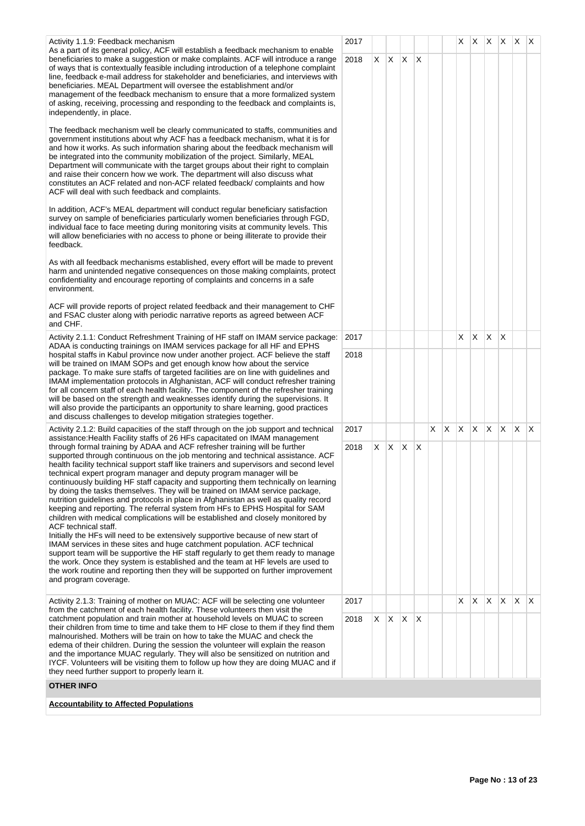| Activity 1.1.9: Feedback mechanism<br>As a part of its general policy, ACF will establish a feedback mechanism to enable                                                                                                                                                                                                                                                                                                                                                                                                                                                                                                                                                                                                                                                                                                                                                                                                                                                                                                                                                                                                                                            | 2017 |         |                 |   |     | X. | X.  |              |              | $X$ $X$ $X$ $X$ |     |
|---------------------------------------------------------------------------------------------------------------------------------------------------------------------------------------------------------------------------------------------------------------------------------------------------------------------------------------------------------------------------------------------------------------------------------------------------------------------------------------------------------------------------------------------------------------------------------------------------------------------------------------------------------------------------------------------------------------------------------------------------------------------------------------------------------------------------------------------------------------------------------------------------------------------------------------------------------------------------------------------------------------------------------------------------------------------------------------------------------------------------------------------------------------------|------|---------|-----------------|---|-----|----|-----|--------------|--------------|-----------------|-----|
| beneficiaries to make a suggestion or make complaints. ACF will introduce a range<br>of ways that is contextually feasible including introduction of a telephone complaint<br>line, feedback e-mail address for stakeholder and beneficiaries, and interviews with<br>beneficiaries. MEAL Department will oversee the establishment and/or<br>management of the feedback mechanism to ensure that a more formalized system<br>of asking, receiving, processing and responding to the feedback and complaints is,<br>independently, in place.                                                                                                                                                                                                                                                                                                                                                                                                                                                                                                                                                                                                                        | 2018 |         | $X$ $X$ $X$ $X$ |   |     |    |     |              |              |                 |     |
| The feedback mechanism well be clearly communicated to staffs, communities and<br>government institutions about why ACF has a feedback mechanism, what it is for<br>and how it works. As such information sharing about the feedback mechanism will<br>be integrated into the community mobilization of the project. Similarly, MEAL<br>Department will communicate with the target groups about their right to complain<br>and raise their concern how we work. The department will also discuss what<br>constitutes an ACF related and non-ACF related feedback/ complaints and how<br>ACF will deal with such feedback and complaints.                                                                                                                                                                                                                                                                                                                                                                                                                                                                                                                           |      |         |                 |   |     |    |     |              |              |                 |     |
| In addition, ACF's MEAL department will conduct regular beneficiary satisfaction<br>survey on sample of beneficiaries particularly women beneficiaries through FGD,<br>individual face to face meeting during monitoring visits at community levels. This<br>will allow beneficiaries with no access to phone or being illiterate to provide their<br>feedback.                                                                                                                                                                                                                                                                                                                                                                                                                                                                                                                                                                                                                                                                                                                                                                                                     |      |         |                 |   |     |    |     |              |              |                 |     |
| As with all feedback mechanisms established, every effort will be made to prevent<br>harm and unintended negative consequences on those making complaints, protect<br>confidentiality and encourage reporting of complaints and concerns in a safe<br>environment.                                                                                                                                                                                                                                                                                                                                                                                                                                                                                                                                                                                                                                                                                                                                                                                                                                                                                                  |      |         |                 |   |     |    |     |              |              |                 |     |
| ACF will provide reports of project related feedback and their management to CHF<br>and FSAC cluster along with periodic narrative reports as agreed between ACF<br>and CHF.                                                                                                                                                                                                                                                                                                                                                                                                                                                                                                                                                                                                                                                                                                                                                                                                                                                                                                                                                                                        |      |         |                 |   |     |    |     |              |              |                 |     |
| 2017<br>Activity 2.1.1: Conduct Refreshment Training of HF staff on IMAM service package:<br>ADAA is conducting trainings on IMAM services package for all HF and EPHS                                                                                                                                                                                                                                                                                                                                                                                                                                                                                                                                                                                                                                                                                                                                                                                                                                                                                                                                                                                              |      |         |                 |   |     | X. | X.  | X            | $\mathsf{X}$ |                 |     |
| hospital staffs in Kabul province now under another project. ACF believe the staff<br>will be trained on IMAM SOPs and get enough know how about the service<br>package. To make sure staffs of targeted facilities are on line with guidelines and<br>IMAM implementation protocols in Afghanistan, ACF will conduct refresher training<br>for all concern staff of each health facility. The component of the refresher training<br>will be based on the strength and weaknesses identify during the supervisions. It<br>will also provide the participants an opportunity to share learning, good practices<br>and discuss challenges to develop mitigation strategies together.                                                                                                                                                                                                                                                                                                                                                                                                                                                                                 | 2018 |         |                 |   |     |    |     |              |              |                 |     |
| Activity 2.1.2: Build capacities of the staff through on the job support and technical<br>assistance: Health Facility staffs of 26 HFs capacitated on IMAM management                                                                                                                                                                                                                                                                                                                                                                                                                                                                                                                                                                                                                                                                                                                                                                                                                                                                                                                                                                                               | 2017 |         |                 | X | IX. | X. | IX. | $\mathsf{X}$ | $\mathsf{X}$ | $\mathsf{X}$    | IX. |
| through formal training by ADAA and ACF refresher training will be further                                                                                                                                                                                                                                                                                                                                                                                                                                                                                                                                                                                                                                                                                                                                                                                                                                                                                                                                                                                                                                                                                          | 2018 |         | $X$ $X$ $X$ $X$ |   |     |    |     |              |              |                 |     |
| supported through continuous on the job mentoring and technical assistance. ACF<br>health facility technical support staff like trainers and supervisors and second level<br>technical expert program manager and deputy program manager will be<br>continuously building HF staff capacity and supporting them technically on learning<br>by doing the tasks themselves. They will be trained on IMAM service package,<br>nutrition guidelines and protocols in place in Afghanistan as well as quality record<br>keeping and reporting. The referral system from HFs to EPHS Hospital for SAM<br>children with medical complications will be established and closely monitored by<br>ACF technical staff.<br>Initially the HFs will need to be extensively supportive because of new start of<br>IMAM services in these sites and huge catchment population. ACF technical<br>support team will be supportive the HF staff regularly to get them ready to manage<br>the work. Once they system is established and the team at HF levels are used to<br>the work routine and reporting then they will be supported on further improvement<br>and program coverage. |      |         |                 |   |     |    | X.  | X.           | $\mathsf{X}$ | $\mathsf{X}$    | ΙX. |
| Activity 2.1.3: Training of mother on MUAC: ACF will be selecting one volunteer<br>from the catchment of each health facility. These volunteers then visit the                                                                                                                                                                                                                                                                                                                                                                                                                                                                                                                                                                                                                                                                                                                                                                                                                                                                                                                                                                                                      | 2017 |         |                 |   |     | X. |     |              |              |                 |     |
| catchment population and train mother at household levels on MUAC to screen<br>their children from time to time and take them to HF close to them if they find them<br>malnourished. Mothers will be train on how to take the MUAC and check the<br>edema of their children. During the session the volunteer will explain the reason<br>and the importance MUAC regularly. They will also be sensitized on nutrition and<br>IYCF. Volunteers will be visiting them to follow up how they are doing MUAC and if<br>they need further support to properly learn it.                                                                                                                                                                                                                                                                                                                                                                                                                                                                                                                                                                                                  | 2018 | $X$ $X$ | $X$ $X$         |   |     |    |     |              |              |                 |     |
| <b>OTHER INFO</b>                                                                                                                                                                                                                                                                                                                                                                                                                                                                                                                                                                                                                                                                                                                                                                                                                                                                                                                                                                                                                                                                                                                                                   |      |         |                 |   |     |    |     |              |              |                 |     |
| <b>Accountability to Affected Populations</b>                                                                                                                                                                                                                                                                                                                                                                                                                                                                                                                                                                                                                                                                                                                                                                                                                                                                                                                                                                                                                                                                                                                       |      |         |                 |   |     |    |     |              |              |                 |     |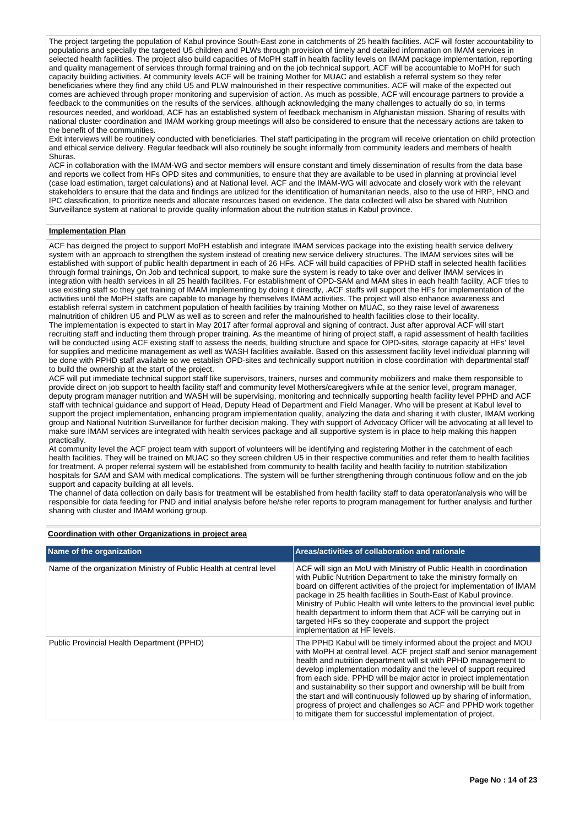The project targeting the population of Kabul province South-East zone in catchments of 25 health facilities. ACF will foster accountability to populations and specially the targeted U5 children and PLWs through provision of timely and detailed information on IMAM services in selected health facilities. The project also build capacities of MoPH staff in health facility levels on IMAM package implementation, reporting and quality management of services through formal training and on the job technical support, ACF will be accountable to MoPH for such capacity building activities. At community levels ACF will be training Mother for MUAC and establish a referral system so they refer beneficiaries where they find any child U5 and PLW malnourished in their respective communities. ACF will make of the expected out comes are achieved through proper monitoring and supervision of action. As much as possible, ACF will encourage partners to provide a feedback to the communities on the results of the services, although acknowledging the many challenges to actually do so, in terms resources needed, and workload, ACF has an established system of feedback mechanism in Afghanistan mission. Sharing of results with national cluster coordination and IMAM working group meetings will also be considered to ensure that the necessary actions are taken to the benefit of the communities.

Exit interviews will be routinely conducted with beneficiaries. Thel staff participating in the program will receive orientation on child protection and ethical service delivery. Regular feedback will also routinely be sought informally from community leaders and members of health Shuras.

ACF in collaboration with the IMAM-WG and sector members will ensure constant and timely dissemination of results from the data base and reports we collect from HFs OPD sites and communities, to ensure that they are available to be used in planning at provincial level (case load estimation, target calculations) and at National level. ACF and the IMAM-WG will advocate and closely work with the relevant stakeholders to ensure that the data and findings are utilized for the identification of humanitarian needs, also to the use of HRP, HNO and IPC classification, to prioritize needs and allocate resources based on evidence. The data collected will also be shared with Nutrition Surveillance system at national to provide quality information about the nutrition status in Kabul province.

### **Implementation Plan**

ACF has deigned the project to support MoPH establish and integrate IMAM services package into the existing health service delivery system with an approach to strengthen the system instead of creating new service delivery structures. The IMAM services sites will be established with support of public health department in each of 26 HFs. ACF will build capacities of PPHD staff in selected health facilities through formal trainings, On Job and technical support, to make sure the system is ready to take over and deliver IMAM services in integration with health services in all 25 health facilities. For establishment of OPD-SAM and MAM sites in each health facility, ACF tries to use existing staff so they get training of IMAM implementing by doing it directly, .ACF staffs will support the HFs for implementation of the activities until the MoPH staffs are capable to manage by themselves IMAM activities. The project will also enhance awareness and establish referral system in catchment population of health facilities by training Mother on MUAC, so they raise level of awareness malnutrition of children U5 and PLW as well as to screen and refer the malnourished to health facilities close to their locality. The implementation is expected to start in May 2017 after formal approval and signing of contract. Just after approval ACF will start recruiting staff and inducting them through proper training. As the meantime of hiring of project staff, a rapid assessment of health facilities will be conducted using ACF existing staff to assess the needs, building structure and space for OPD-sites, storage capacity at HFs' level for supplies and medicine management as well as WASH facilities available. Based on this assessment facility level individual planning will be done with PPHD staff available so we establish OPD-sites and technically support nutrition in close coordination with departmental staff to build the ownership at the start of the project.

ACF will put immediate technical support staff like supervisors, trainers, nurses and community mobilizers and make them responsible to provide direct on job support to health facility staff and community level Mothers/caregivers while at the senior level, program manager, deputy program manager nutrition and WASH will be supervising, monitoring and technically supporting health facility level PPHD and ACF staff with technical guidance and support of Head, Deputy Head of Department and Field Manager. Who will be present at Kabul level to support the project implementation, enhancing program implementation quality, analyzing the data and sharing it with cluster, IMAM working group and National Nutrition Surveillance for further decision making. They with support of Advocacy Officer will be advocating at all level to make sure IMAM services are integrated with health services package and all supportive system is in place to help making this happen practically.

At community level the ACF project team with support of volunteers will be identifying and registering Mother in the catchment of each health facilities. They will be trained on MUAC so they screen children U5 in their respective communities and refer them to health facilities for treatment. A proper referral system will be established from community to health facility and health facility to nutrition stabilization hospitals for SAM and SAM with medical complications. The system will be further strengthening through continuous follow and on the job support and capacity building at all levels.

The channel of data collection on daily basis for treatment will be established from health facility staff to data operator/analysis who will be responsible for data feeding for PND and initial analysis before he/she refer reports to program management for further analysis and further sharing with cluster and IMAM working group.

| Coordination with other Organizations in project area |  |
|-------------------------------------------------------|--|
|                                                       |  |

| Name of the organization                                            | Areas/activities of collaboration and rationale                                                                                                                                                                                                                                                                                                                                                                                                                                                                                                                                                                                            |
|---------------------------------------------------------------------|--------------------------------------------------------------------------------------------------------------------------------------------------------------------------------------------------------------------------------------------------------------------------------------------------------------------------------------------------------------------------------------------------------------------------------------------------------------------------------------------------------------------------------------------------------------------------------------------------------------------------------------------|
| Name of the organization Ministry of Public Health at central level | ACF will sign an MoU with Ministry of Public Health in coordination<br>with Public Nutrition Department to take the ministry formally on<br>board on different activities of the project for implementation of IMAM<br>package in 25 health facilities in South-East of Kabul province.<br>Ministry of Public Health will write letters to the provincial level public<br>health department to inform them that ACF will be carrying out in<br>targeted HFs so they cooperate and support the project<br>implementation at HF levels.                                                                                                      |
| Public Provincial Health Department (PPHD)                          | The PPHD Kabul will be timely informed about the project and MOU<br>with MoPH at central level. ACF project staff and senior management<br>health and nutrition department will sit with PPHD management to<br>develop implementation modality and the level of support required<br>from each side. PPHD will be major actor in project implementation<br>and sustainability so their support and ownership will be built from<br>the start and will continuously followed up by sharing of information.<br>progress of project and challenges so ACF and PPHD work together<br>to mitigate them for successful implementation of project. |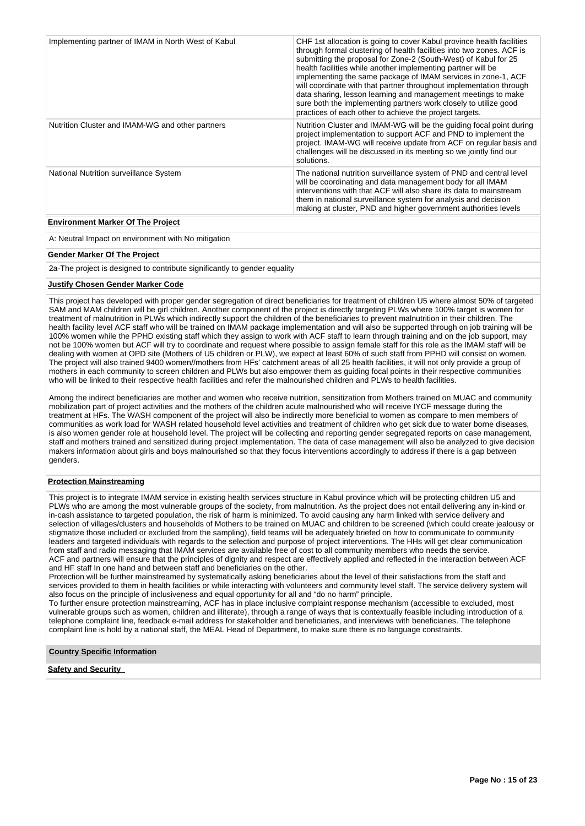| Implementing partner of IMAM in North West of Kabul | CHF 1st allocation is going to cover Kabul province health facilities<br>through formal clustering of health facilities into two zones. ACF is<br>submitting the proposal for Zone-2 (South-West) of Kabul for 25<br>health facilities while another implementing partner will be<br>implementing the same package of IMAM services in zone-1, ACF<br>will coordinate with that partner throughout implementation through<br>data sharing, lesson learning and management meetings to make<br>sure both the implementing partners work closely to utilize good<br>practices of each other to achieve the project targets. |
|-----------------------------------------------------|---------------------------------------------------------------------------------------------------------------------------------------------------------------------------------------------------------------------------------------------------------------------------------------------------------------------------------------------------------------------------------------------------------------------------------------------------------------------------------------------------------------------------------------------------------------------------------------------------------------------------|
| Nutrition Cluster and IMAM-WG and other partners    | Nutrition Cluster and IMAM-WG will be the guiding focal point during<br>project implementation to support ACF and PND to implement the<br>project. IMAM-WG will receive update from ACF on regular basis and<br>challenges will be discussed in its meeting so we jointly find our<br>solutions.                                                                                                                                                                                                                                                                                                                          |
| National Nutrition surveillance System              | The national nutrition surveillance system of PND and central level<br>will be coordinating and data management body for all IMAM<br>interventions with that ACF will also share its data to mainstream<br>them in national surveillance system for analysis and decision<br>making at cluster, PND and higher government authorities levels                                                                                                                                                                                                                                                                              |
| <b>Environment Marker Of The Project</b>            |                                                                                                                                                                                                                                                                                                                                                                                                                                                                                                                                                                                                                           |

A: Neutral Impact on environment with No mitigation

#### **Gender Marker Of The Project**

2a-The project is designed to contribute significantly to gender equality

# **Justify Chosen Gender Marker Code**

This project has developed with proper gender segregation of direct beneficiaries for treatment of children U5 where almost 50% of targeted SAM and MAM children will be girl children. Another component of the project is directly targeting PLWs where 100% target is women for treatment of malnutrition in PLWs which indirectly support the children of the beneficiaries to prevent malnutrition in their children. The health facility level ACF staff who will be trained on IMAM package implementation and will also be supported through on job training will be 100% women while the PPHD existing staff which they assign to work with ACF staff to learn through training and on the job support, may not be 100% women but ACF will try to coordinate and request where possible to assign female staff for this role as the IMAM staff will be dealing with women at OPD site (Mothers of U5 children or PLW), we expect at least 60% of such staff from PPHD will consist on women. The project will also trained 9400 women//mothers from HFs' catchment areas of all 25 health facilities, it will not only provide a group of mothers in each community to screen children and PLWs but also empower them as guiding focal points in their respective communities who will be linked to their respective health facilities and refer the malnourished children and PLWs to health facilities.

Among the indirect beneficiaries are mother and women who receive nutrition, sensitization from Mothers trained on MUAC and community mobilization part of project activities and the mothers of the children acute malnourished who will receive IYCF message during the treatment at HFs. The WASH component of the project will also be indirectly more beneficial to women as compare to men members of communities as work load for WASH related household level activities and treatment of children who get sick due to water borne diseases, is also women gender role at household level. The project will be collecting and reporting gender segregated reports on case management, staff and mothers trained and sensitized during project implementation. The data of case management will also be analyzed to give decision makers information about girls and boys malnourished so that they focus interventions accordingly to address if there is a gap between genders.

# **Protection Mainstreaming**

This project is to integrate IMAM service in existing health services structure in Kabul province which will be protecting children U5 and PLWs who are among the most vulnerable groups of the society, from malnutrition. As the project does not entail delivering any in-kind or in-cash assistance to targeted population, the risk of harm is minimized. To avoid causing any harm linked with service delivery and selection of villages/clusters and households of Mothers to be trained on MUAC and children to be screened (which could create jealousy or stigmatize those included or excluded from the sampling), field teams will be adequately briefed on how to communicate to community leaders and targeted individuals with regards to the selection and purpose of project interventions. The HHs will get clear communication from staff and radio messaging that IMAM services are available free of cost to all community members who needs the service. ACF and partners will ensure that the principles of dignity and respect are effectively applied and reflected in the interaction between ACF and HF staff In one hand and between staff and beneficiaries on the other.

Protection will be further mainstreamed by systematically asking beneficiaries about the level of their satisfactions from the staff and services provided to them in health facilities or while interacting with volunteers and community level staff. The service delivery system will also focus on the principle of inclusiveness and equal opportunity for all and "do no harm" principle.

To further ensure protection mainstreaming, ACF has in place inclusive complaint response mechanism (accessible to excluded, most vulnerable groups such as women, children and illiterate), through a range of ways that is contextually feasible including introduction of a telephone complaint line, feedback e-mail address for stakeholder and beneficiaries, and interviews with beneficiaries. The telephone complaint line is hold by a national staff, the MEAL Head of Department, to make sure there is no language constraints.

#### **Country Specific Information**

### **Safety and Security**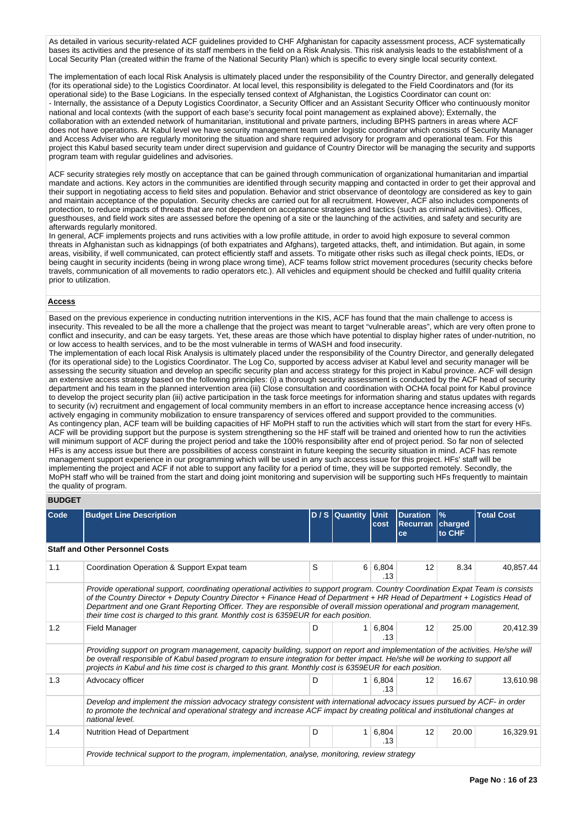As detailed in various security-related ACF quidelines provided to CHF Afghanistan for capacity assessment process, ACF systematically bases its activities and the presence of its staff members in the field on a Risk Analysis. This risk analysis leads to the establishment of a Local Security Plan (created within the frame of the National Security Plan) which is specific to every single local security context.

The implementation of each local Risk Analysis is ultimately placed under the responsibility of the Country Director, and generally delegated (for its operational side) to the Logistics Coordinator. At local level, this responsibility is delegated to the Field Coordinators and (for its operational side) to the Base Logicians. In the especially tensed context of Afghanistan, the Logistics Coordinator can count on: - Internally, the assistance of a Deputy Logistics Coordinator, a Security Officer and an Assistant Security Officer who continuously monitor national and local contexts (with the support of each base's security focal point management as explained above); Externally, the collaboration with an extended network of humanitarian, institutional and private partners, including BPHS partners in areas where ACF does not have operations. At Kabul level we have security management team under logistic coordinator which consists of Security Manager and Access Adviser who are regularly monitoring the situation and share required advisory for program and operational team. For this project this Kabul based security team under direct supervision and guidance of Country Director will be managing the security and supports program team with regular guidelines and advisories.

ACF security strategies rely mostly on acceptance that can be gained through communication of organizational humanitarian and impartial mandate and actions. Key actors in the communities are identified through security mapping and contacted in order to get their approval and their support in negotiating access to field sites and population. Behavior and strict observance of deontology are considered as key to gain and maintain acceptance of the population. Security checks are carried out for all recruitment. However, ACF also includes components of protection, to reduce impacts of threats that are not dependent on acceptance strategies and tactics (such as criminal activities). Offices, guesthouses, and field work sites are assessed before the opening of a site or the launching of the activities, and safety and security are afterwards regularly monitored.

In general, ACF implements projects and runs activities with a low profile attitude, in order to avoid high exposure to several common threats in Afghanistan such as kidnappings (of both expatriates and Afghans), targeted attacks, theft, and intimidation. But again, in some areas, visibility, if well communicated, can protect efficiently staff and assets. To mitigate other risks such as illegal check points, IEDs, or being caught in security incidents (being in wrong place wrong time), ACF teams follow strict movement procedures (security checks before travels, communication of all movements to radio operators etc.). All vehicles and equipment should be checked and fulfill quality criteria prior to utilization.

#### **Access**

Based on the previous experience in conducting nutrition interventions in the KIS, ACF has found that the main challenge to access is insecurity. This revealed to be all the more a challenge that the project was meant to target "vulnerable areas", which are very often prone to conflict and insecurity, and can be easy targets. Yet, these areas are those which have potential to display higher rates of under-nutrition, no or low access to health services, and to be the most vulnerable in terms of WASH and food insecurity.

The implementation of each local Risk Analysis is ultimately placed under the responsibility of the Country Director, and generally delegated (for its operational side) to the Logistics Coordinator. The Log Co, supported by access adviser at Kabul level and security manager will be assessing the security situation and develop an specific security plan and access strategy for this project in Kabul province. ACF will design an extensive access strategy based on the following principles: (i) a thorough security assessment is conducted by the ACF head of security department and his team in the planned intervention area (iii) Close consultation and coordination with OCHA focal point for Kabul province to develop the project security plan (iii) active participation in the task force meetings for information sharing and status updates with regards to security (iv) recruitment and engagement of local community members in an effort to increase acceptance hence increasing access (v) actively engaging in community mobilization to ensure transparency of services offered and support provided to the communities. As contingency plan, ACF team will be building capacities of HF MoPH staff to run the activities which will start from the start for every HFs. ACF will be providing support but the purpose is system strengthening so the HF staff will be trained and oriented how to run the activities will minimum support of ACF during the project period and take the 100% responsibility after end of project period. So far non of selected HFs is any access issue but there are possibilities of access constraint in future keeping the security situation in mind. ACF has remote management support experience in our programming which will be used in any such access issue for this project. HFs' staff will be implementing the project and ACF if not able to support any facility for a period of time, they will be supported remotely. Secondly, the MoPH staff who will be trained from the start and doing joint monitoring and supervision will be supporting such HFs frequently to maintain the quality of program.

# **BUDGET**

| <b>Code</b> | <b>Budget Line Description</b>                                                                                                                                                                                                                                                                                                                                                                                                                                                    |   | D / S Quantity Unit | cost         | <b>Duration</b><br>Recurran   charged<br>ce | $\frac{9}{6}$<br>to CHF | <b>Total Cost</b> |  |
|-------------|-----------------------------------------------------------------------------------------------------------------------------------------------------------------------------------------------------------------------------------------------------------------------------------------------------------------------------------------------------------------------------------------------------------------------------------------------------------------------------------|---|---------------------|--------------|---------------------------------------------|-------------------------|-------------------|--|
|             | <b>Staff and Other Personnel Costs</b>                                                                                                                                                                                                                                                                                                                                                                                                                                            |   |                     |              |                                             |                         |                   |  |
| 1.1         | Coordination Operation & Support Expat team                                                                                                                                                                                                                                                                                                                                                                                                                                       | S | 6                   | 6,804<br>.13 | 12                                          | 8.34                    | 40,857.44         |  |
|             | Provide operational support, coordinating operational activities to support program. Country Coordination Expat Team is consists<br>of the Country Director + Deputy Country Director + Finance Head of Department + HR Head of Department + Logistics Head of<br>Department and one Grant Reporting Officer. They are responsible of overall mission operational and program management,<br>their time cost is charged to this grant. Monthly cost is 6359EUR for each position. |   |                     |              |                                             |                         |                   |  |
| 1.2         | <b>Field Manager</b>                                                                                                                                                                                                                                                                                                                                                                                                                                                              | D | 1                   | 6,804<br>.13 | 12                                          | 25.00                   | 20,412.39         |  |
|             | Providing support on program management, capacity building, support on report and implementation of the activities. He/she will<br>be overall responsible of Kabul based program to ensure integration for better impact. He/she will be working to support all<br>projects in Kabul and his time cost is charged to this grant. Monthly cost is 6359EUR for each position.                                                                                                       |   |                     |              |                                             |                         |                   |  |
| 1.3         | Advocacy officer                                                                                                                                                                                                                                                                                                                                                                                                                                                                  | D | 1                   | 6,804<br>.13 | 12                                          | 16.67                   | 13,610.98         |  |
|             | Develop and implement the mission advocacy strategy consistent with international advocacy issues pursued by ACF- in order<br>to promote the technical and operational strategy and increase ACF impact by creating political and institutional changes at<br>national level.                                                                                                                                                                                                     |   |                     |              |                                             |                         |                   |  |
| 1.4         | Nutrition Head of Department                                                                                                                                                                                                                                                                                                                                                                                                                                                      | D | $\mathbf{1}$        | 6,804<br>.13 | 12                                          | 20.00                   | 16,329.91         |  |
|             | Provide technical support to the program, implementation, analyse, monitoring, review strategy                                                                                                                                                                                                                                                                                                                                                                                    |   |                     |              |                                             |                         |                   |  |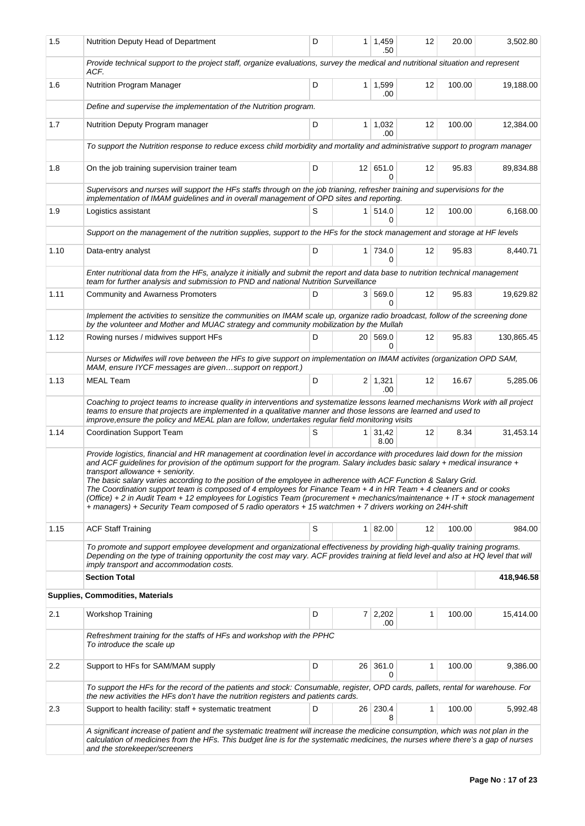| 1.5  | Nutrition Deputy Head of Department                                                                                                                                                                                                                                                                                                                                                                                                                                                                                                                                                                                                                                                                                                                                               |   | 1 <sup>1</sup>  | 1,459<br>.50            | 12 | 20.00  | 3,502.80   |  |  |  |
|------|-----------------------------------------------------------------------------------------------------------------------------------------------------------------------------------------------------------------------------------------------------------------------------------------------------------------------------------------------------------------------------------------------------------------------------------------------------------------------------------------------------------------------------------------------------------------------------------------------------------------------------------------------------------------------------------------------------------------------------------------------------------------------------------|---|-----------------|-------------------------|----|--------|------------|--|--|--|
|      | Provide technical support to the project staff, organize evaluations, survey the medical and nutritional situation and represent<br>ACF.                                                                                                                                                                                                                                                                                                                                                                                                                                                                                                                                                                                                                                          |   |                 |                         |    |        |            |  |  |  |
| 1.6  | Nutrition Program Manager                                                                                                                                                                                                                                                                                                                                                                                                                                                                                                                                                                                                                                                                                                                                                         | D |                 | 1 1,599<br>.00          | 12 | 100.00 | 19,188.00  |  |  |  |
|      | Define and supervise the implementation of the Nutrition program.                                                                                                                                                                                                                                                                                                                                                                                                                                                                                                                                                                                                                                                                                                                 |   |                 |                         |    |        |            |  |  |  |
| 1.7  | D<br>1,032<br>100.00<br>Nutrition Deputy Program manager<br>1 <sup>1</sup><br>12<br>.00                                                                                                                                                                                                                                                                                                                                                                                                                                                                                                                                                                                                                                                                                           |   |                 |                         |    |        |            |  |  |  |
|      | To support the Nutrition response to reduce excess child morbidity and mortality and administrative support to program manager                                                                                                                                                                                                                                                                                                                                                                                                                                                                                                                                                                                                                                                    |   |                 |                         |    |        |            |  |  |  |
| 1.8  | On the job training supervision trainer team                                                                                                                                                                                                                                                                                                                                                                                                                                                                                                                                                                                                                                                                                                                                      | D |                 | 12 651.0<br>0           | 12 | 95.83  | 89,834.88  |  |  |  |
|      | Supervisors and nurses will support the HFs staffs through on the job trianing, refresher training and supervisions for the<br>implementation of IMAM guidelines and in overall management of OPD sites and reporting.                                                                                                                                                                                                                                                                                                                                                                                                                                                                                                                                                            |   |                 |                         |    |        |            |  |  |  |
| 1.9  | Logistics assistant                                                                                                                                                                                                                                                                                                                                                                                                                                                                                                                                                                                                                                                                                                                                                               | S |                 | 1   514.0<br>$\Omega$   | 12 | 100.00 | 6,168.00   |  |  |  |
|      | Support on the management of the nutrition supplies, support to the HFs for the stock management and storage at HF levels                                                                                                                                                                                                                                                                                                                                                                                                                                                                                                                                                                                                                                                         |   |                 |                         |    |        |            |  |  |  |
| 1.10 | Data-entry analyst                                                                                                                                                                                                                                                                                                                                                                                                                                                                                                                                                                                                                                                                                                                                                                | D |                 | 1 734.0<br><sup>0</sup> | 12 | 95.83  | 8,440.71   |  |  |  |
|      | Enter nutritional data from the HFs, analyze it initially and submit the report and data base to nutrition technical management<br>team for further analysis and submission to PND and national Nutrition Surveillance                                                                                                                                                                                                                                                                                                                                                                                                                                                                                                                                                            |   |                 |                         |    |        |            |  |  |  |
| 1.11 | <b>Community and Awarness Promoters</b>                                                                                                                                                                                                                                                                                                                                                                                                                                                                                                                                                                                                                                                                                                                                           | D |                 | 3 569.0<br>$\Omega$     | 12 | 95.83  | 19,629.82  |  |  |  |
|      | Implement the activities to sensitize the communities on IMAM scale up, organize radio broadcast, follow of the screening done<br>by the volunteer and Mother and MUAC strategy and community mobilization by the Mullah                                                                                                                                                                                                                                                                                                                                                                                                                                                                                                                                                          |   |                 |                         |    |        |            |  |  |  |
| 1.12 | Rowing nurses / midwives support HFs                                                                                                                                                                                                                                                                                                                                                                                                                                                                                                                                                                                                                                                                                                                                              | D |                 | 20 569.0<br>0           | 12 | 95.83  | 130,865.45 |  |  |  |
|      | Nurses or Midwifes will rove between the HFs to give support on implementation on IMAM activites (organization OPD SAM,<br>MAM, ensure IYCF messages are givensupport on repport.)                                                                                                                                                                                                                                                                                                                                                                                                                                                                                                                                                                                                |   |                 |                         |    |        |            |  |  |  |
| 1.13 | <b>MEAL Team</b>                                                                                                                                                                                                                                                                                                                                                                                                                                                                                                                                                                                                                                                                                                                                                                  | D |                 | $2 \mid 1,321$<br>.00   | 12 | 16.67  | 5,285.06   |  |  |  |
|      | Coaching to project teams to increase quality in interventions and systematize lessons learned mechanisms Work with all project<br>teams to ensure that projects are implemented in a qualitative manner and those lessons are learned and used to<br>improve, ensure the policy and MEAL plan are follow, undertakes regular field monitoring visits                                                                                                                                                                                                                                                                                                                                                                                                                             |   |                 |                         |    |        |            |  |  |  |
| 1.14 | <b>Coordination Support Team</b>                                                                                                                                                                                                                                                                                                                                                                                                                                                                                                                                                                                                                                                                                                                                                  | S |                 | $1 \mid 31,42$<br>8.00  | 12 | 8.34   | 31,453.14  |  |  |  |
|      | Provide logistics, financial and HR management at coordination level in accordance with procedures laid down for the mission<br>and ACF guidelines for provision of the optimum support for the program. Salary includes basic salary + medical insurance +<br>transport allowance + seniority.<br>The basic salary varies according to the position of the employee in adherence with ACF Function & Salary Grid.<br>The Coordination support team is composed of 4 employees for Finance Team + 4 in HR Team + 4 cleaners and or cooks<br>(Office) + 2 in Audit Team + 12 employees for Logistics Team (procurement + mechanics/maintenance + IT + stock management<br>+ managers) + Security Team composed of 5 radio operators + 15 watchmen + 7 drivers working on 24H-shift |   |                 |                         |    |        |            |  |  |  |
| 1.15 | <b>ACF Staff Training</b>                                                                                                                                                                                                                                                                                                                                                                                                                                                                                                                                                                                                                                                                                                                                                         | S |                 | 1   82.00               | 12 | 100.00 | 984.00     |  |  |  |
|      | To promote and support employee development and organizational effectiveness by providing high-quality training programs.<br>Depending on the type of training opportunity the cost may vary. ACF provides training at field level and also at HQ level that will<br>imply transport and accommodation costs.                                                                                                                                                                                                                                                                                                                                                                                                                                                                     |   |                 |                         |    |        |            |  |  |  |
|      | <b>Section Total</b>                                                                                                                                                                                                                                                                                                                                                                                                                                                                                                                                                                                                                                                                                                                                                              |   |                 |                         |    |        | 418,946.58 |  |  |  |
|      | Supplies, Commodities, Materials                                                                                                                                                                                                                                                                                                                                                                                                                                                                                                                                                                                                                                                                                                                                                  |   |                 |                         |    |        |            |  |  |  |
| 2.1  | <b>Workshop Training</b>                                                                                                                                                                                                                                                                                                                                                                                                                                                                                                                                                                                                                                                                                                                                                          | D |                 | $7 \mid 2,202$<br>.00   | 1  | 100.00 | 15,414.00  |  |  |  |
|      | Refreshment training for the staffs of HFs and workshop with the PPHC<br>To introduce the scale up                                                                                                                                                                                                                                                                                                                                                                                                                                                                                                                                                                                                                                                                                |   |                 |                         |    |        |            |  |  |  |
| 2.2  | Support to HFs for SAM/MAM supply                                                                                                                                                                                                                                                                                                                                                                                                                                                                                                                                                                                                                                                                                                                                                 | D | 26 <sup>2</sup> | 361.0<br>0              | 1  | 100.00 | 9,386.00   |  |  |  |
|      | To support the HFs for the record of the patients and stock: Consumable, register, OPD cards, pallets, rental for warehouse. For<br>the new activities the HFs don't have the nutrition registers and patients cards.                                                                                                                                                                                                                                                                                                                                                                                                                                                                                                                                                             |   |                 |                         |    |        |            |  |  |  |
| 2.3  | Support to health facility: staff + systematic treatment                                                                                                                                                                                                                                                                                                                                                                                                                                                                                                                                                                                                                                                                                                                          | D |                 | 26 230.4<br>8           | 1  | 100.00 | 5,992.48   |  |  |  |
|      | A significant increase of patient and the systematic treatment will increase the medicine consumption, which was not plan in the<br>calculation of medicines from the HFs. This budget line is for the systematic medicines, the nurses where there's a gap of nurses<br>and the storekeeper/screeners                                                                                                                                                                                                                                                                                                                                                                                                                                                                            |   |                 |                         |    |        |            |  |  |  |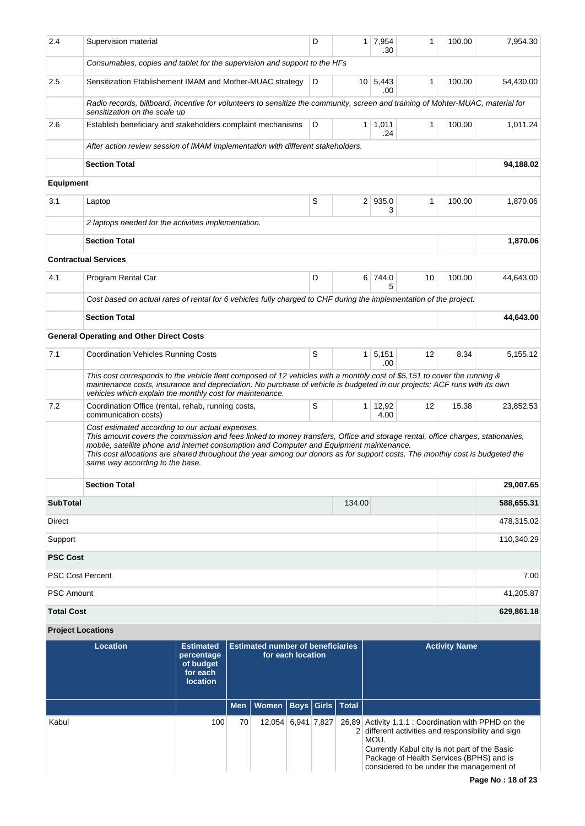| 2.4                       | Supervision material                                                                                                                                                                                                                                                                                                                                                                                                                              |                                                                     | D                                                             | 1 <sup>1</sup> | 7,954<br>.30   | 1               | 100.00       | 7,954.30             |                          |  |
|---------------------------|---------------------------------------------------------------------------------------------------------------------------------------------------------------------------------------------------------------------------------------------------------------------------------------------------------------------------------------------------------------------------------------------------------------------------------------------------|---------------------------------------------------------------------|---------------------------------------------------------------|----------------|----------------|-----------------|--------------|----------------------|--------------------------|--|
|                           | Consumables, copies and tablet for the supervision and support to the HFs                                                                                                                                                                                                                                                                                                                                                                         |                                                                     |                                                               |                |                |                 |              |                      |                          |  |
| 2.5                       | Sensitization Etablishement IMAM and Mother-MUAC strategy                                                                                                                                                                                                                                                                                                                                                                                         |                                                                     |                                                               | D              |                | 10 5,443<br>.00 | 1            | 100.00               | 54,430.00                |  |
|                           | Radio records, billboard, incentive for volunteers to sensitize the community, screen and training of Mohter-MUAC, material for<br>sensitization on the scale up                                                                                                                                                                                                                                                                                  |                                                                     |                                                               |                |                |                 |              |                      |                          |  |
| 2.6                       | Establish beneficiary and stakeholders complaint mechanisms                                                                                                                                                                                                                                                                                                                                                                                       |                                                                     |                                                               | D              | 1 <sup>1</sup> | 1,011<br>.24    | $\mathbf{1}$ | 100.00               | 1,011.24                 |  |
|                           | After action review session of IMAM implementation with different stakeholders.                                                                                                                                                                                                                                                                                                                                                                   |                                                                     |                                                               |                |                |                 |              |                      |                          |  |
|                           | <b>Section Total</b>                                                                                                                                                                                                                                                                                                                                                                                                                              |                                                                     |                                                               |                |                |                 |              |                      | 94,188.02                |  |
| <b>Equipment</b>          |                                                                                                                                                                                                                                                                                                                                                                                                                                                   |                                                                     |                                                               |                |                |                 |              |                      |                          |  |
| 3.1                       | Laptop                                                                                                                                                                                                                                                                                                                                                                                                                                            |                                                                     |                                                               | S              |                | 2 935.0<br>3    | $\mathbf{1}$ | 100.00               | 1,870.06                 |  |
|                           | 2 laptops needed for the activities implementation.                                                                                                                                                                                                                                                                                                                                                                                               |                                                                     |                                                               |                |                |                 |              |                      |                          |  |
|                           | <b>Section Total</b>                                                                                                                                                                                                                                                                                                                                                                                                                              |                                                                     |                                                               |                |                |                 |              |                      | 1,870.06                 |  |
|                           | <b>Contractual Services</b>                                                                                                                                                                                                                                                                                                                                                                                                                       |                                                                     |                                                               |                |                |                 |              |                      |                          |  |
| 4.1                       | Program Rental Car                                                                                                                                                                                                                                                                                                                                                                                                                                |                                                                     |                                                               | D              |                | 6 744.0<br>5    | 10           | 100.00               | 44,643.00                |  |
|                           | Cost based on actual rates of rental for 6 vehicles fully charged to CHF during the implementation of the project.                                                                                                                                                                                                                                                                                                                                |                                                                     |                                                               |                |                |                 |              |                      |                          |  |
|                           | <b>Section Total</b>                                                                                                                                                                                                                                                                                                                                                                                                                              |                                                                     |                                                               |                |                |                 |              |                      | 44,643.00                |  |
|                           | <b>General Operating and Other Direct Costs</b>                                                                                                                                                                                                                                                                                                                                                                                                   |                                                                     |                                                               |                |                |                 |              |                      |                          |  |
| 7.1                       | S<br>5,151<br><b>Coordination Vehicles Running Costs</b><br>1 <sup>1</sup><br>.00                                                                                                                                                                                                                                                                                                                                                                 |                                                                     |                                                               |                |                |                 | 12           | 8.34                 | 5,155.12                 |  |
|                           | This cost corresponds to the vehicle fleet composed of 12 vehicles with a monthly cost of \$5,151 to cover the running &<br>maintenance costs, insurance and depreciation. No purchase of vehicle is budgeted in our projects; ACF runs with its own<br>vehicles which explain the monthly cost for maintenance.                                                                                                                                  |                                                                     |                                                               |                |                |                 |              |                      |                          |  |
| 7.2                       | S<br>Coordination Office (rental, rehab, running costs,<br>$1 \mid 12,92$<br>communication costs)<br>4.00                                                                                                                                                                                                                                                                                                                                         |                                                                     |                                                               |                |                |                 | 12           | 15.38                | 23,852.53                |  |
|                           | Cost estimated according to our actual expenses.<br>This amount covers the commission and fees linked to money transfers, Office and storage rental, office charges, stationaries,<br>mobile, satellite phone and internet consumption and Computer and Equipment maintenance.<br>This cost allocations are shared throughout the year among our donors as for support costs. The monthly cost is budgeted the<br>same way according to the base. |                                                                     |                                                               |                |                |                 |              |                      |                          |  |
|                           | <b>Section Total</b>                                                                                                                                                                                                                                                                                                                                                                                                                              |                                                                     |                                                               |                |                |                 |              |                      | 29,007.65                |  |
| <b>SubTotal</b><br>Direct |                                                                                                                                                                                                                                                                                                                                                                                                                                                   |                                                                     |                                                               |                | 134.00         |                 |              |                      | 588,655.31<br>478,315.02 |  |
| Support                   |                                                                                                                                                                                                                                                                                                                                                                                                                                                   |                                                                     |                                                               |                |                |                 |              |                      | 110,340.29               |  |
| <b>PSC Cost</b>           |                                                                                                                                                                                                                                                                                                                                                                                                                                                   |                                                                     |                                                               |                |                |                 |              |                      |                          |  |
| <b>PSC Cost Percent</b>   |                                                                                                                                                                                                                                                                                                                                                                                                                                                   |                                                                     |                                                               |                |                |                 |              |                      | 7.00                     |  |
| <b>PSC Amount</b>         |                                                                                                                                                                                                                                                                                                                                                                                                                                                   |                                                                     |                                                               |                |                |                 |              |                      | 41,205.87                |  |
| <b>Total Cost</b>         |                                                                                                                                                                                                                                                                                                                                                                                                                                                   |                                                                     |                                                               |                |                |                 |              |                      | 629,861.18               |  |
| <b>Project Locations</b>  |                                                                                                                                                                                                                                                                                                                                                                                                                                                   |                                                                     |                                                               |                |                |                 |              |                      |                          |  |
|                           | <b>Location</b>                                                                                                                                                                                                                                                                                                                                                                                                                                   | <b>Estimated</b><br>percentage<br>of budget<br>for each<br>امتنعمما | <b>Estimated number of beneficiaries</b><br>for each location |                |                |                 |              | <b>Activity Name</b> |                          |  |

|       | <b>location</b> |    |                                    |  |                                                                                                                                                                                                                                                             |
|-------|-----------------|----|------------------------------------|--|-------------------------------------------------------------------------------------------------------------------------------------------------------------------------------------------------------------------------------------------------------------|
|       |                 |    | Men   Women   Boys   Girls   Total |  |                                                                                                                                                                                                                                                             |
| Kabul | 100             | 70 | 12,054 6,941 7,827                 |  | 26,89 Activity 1.1.1 : Coordination with PPHD on the<br>2 different activities and responsibility and sign<br>MOU.<br>Currently Kabul city is not part of the Basic<br>Package of Health Services (BPHS) and is<br>considered to be under the management of |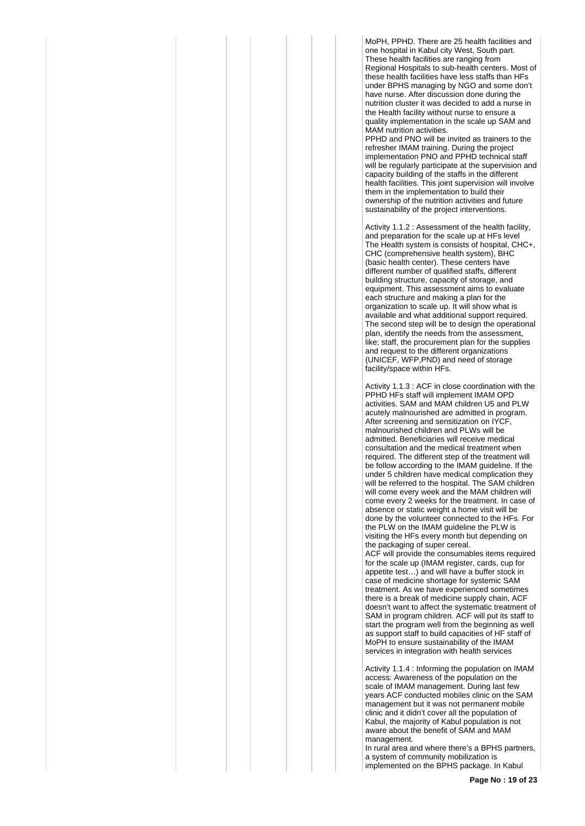MoPH, PPHD. There are 25 health facilities and one hospital in Kabul city West, South part. These health facilities are ranging from Regional Hospitals to sub-health centers. Most of these health facilities have less staffs than HFs under BPHS managing by NGO and some don't have nurse. After discussion done during the nutrition cluster it was decided to add a nurse in the Health facility without nurse to ensure a quality implementation in the scale up SAM and MAM nutrition activities.

PPHD and PNO will be invited as trainers to the refresher IMAM training. During the project implementation PNO and PPHD technical staff will be regularly participate at the supervision and capacity building of the staffs in the different health facilities. This joint supervision will involve them in the implementation to build their ownership of the nutrition activities and future sustainability of the project interventions.

Activity 1.1.2 : Assessment of the health facility, and preparation for the scale up at HFs level The Health system is consists of hospital, CHC+, CHC (comprehensive health system), BHC (basic health center). These centers have different number of qualified staffs, different building structure, capacity of storage, and equipment. This assessment aims to evaluate each structure and making a plan for the organization to scale up. It will show what is available and what additional support required. The second step will be to design the operational plan, identify the needs from the assessment, like; staff, the procurement plan for the supplies and request to the different organizations (UNICEF, WFP,PND) and need of storage facility/space within HFs.

Activity 1.1.3 : ACF in close coordination with the PPHD HFs staff will implement IMAM OPD activities. SAM and MAM children U5 and PLW acutely malnourished are admitted in program. After screening and sensitization on IYCF, malnourished children and PLWs will be admitted. Beneficiaries will receive medical consultation and the medical treatment when required. The different step of the treatment will be follow according to the IMAM guideline. If the under 5 children have medical complication they will be referred to the hospital. The SAM children will come every week and the MAM children will come every 2 weeks for the treatment. In case of absence or static weight a home visit will be done by the volunteer connected to the HFs. For the PLW on the IMAM guideline the PLW is visiting the HFs every month but depending on the packaging of super cereal.

ACF will provide the consumables items required for the scale up (IMAM register, cards, cup for appetite test…) and will have a buffer stock in case of medicine shortage for systemic SAM treatment. As we have experienced sometimes there is a break of medicine supply chain, ACF doesn't want to affect the systematic treatment of SAM in program children. ACF will put its staff to start the program well from the beginning as well as support staff to build capacities of HF staff of MoPH to ensure sustainability of the IMAM services in integration with health services

Activity 1.1.4 : Informing the population on IMAM access: Awareness of the population on the scale of IMAM management. During last few years ACF conducted mobiles clinic on the SAM management but it was not permanent mobile clinic and it didn't cover all the population of Kabul, the majority of Kabul population is not aware about the benefit of SAM and MAM management.

In rural area and where there's a BPHS partners, a system of community mobilization is implemented on the BPHS package. In Kabul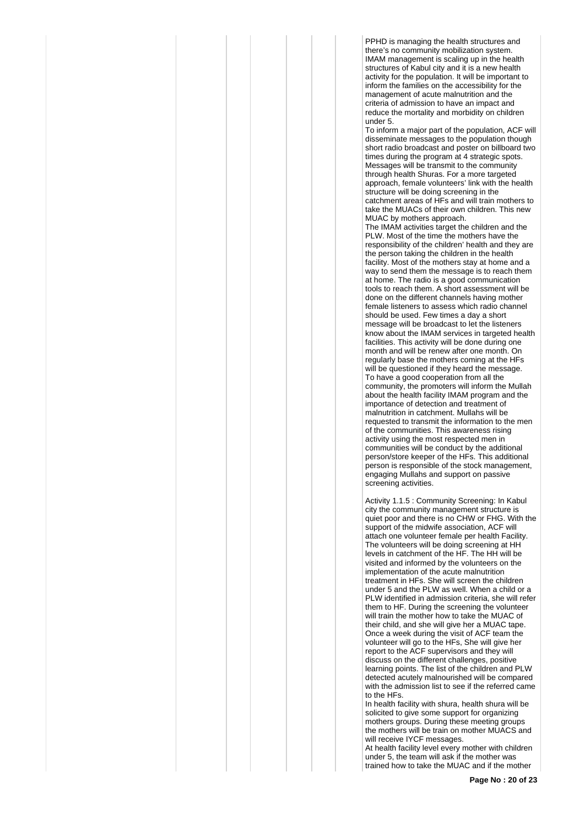PPHD is managing the health structures and there's no community mobilization system. IMAM management is scaling up in the health structures of Kabul city and it is a new health activity for the population. It will be important to inform the families on the accessibility for the management of acute malnutrition and the criteria of admission to have an impact and reduce the mortality and morbidity on children under 5.

To inform a major part of the population, ACF will disseminate messages to the population though short radio broadcast and poster on billboard two times during the program at 4 strategic spots. Messages will be transmit to the community through health Shuras. For a more targeted approach, female volunteers' link with the health structure will be doing screening in the catchment areas of HFs and will train mothers to take the MUACs of their own children. This new MUAC by mothers approach.

The IMAM activities target the children and the PLW. Most of the time the mothers have the responsibility of the children' health and they are the person taking the children in the health facility. Most of the mothers stay at home and a way to send them the message is to reach them at home. The radio is a good communication tools to reach them. A short assessment will be done on the different channels having mother female listeners to assess which radio channel should be used. Few times a day a short message will be broadcast to let the listeners know about the IMAM services in targeted health facilities. This activity will be done during one month and will be renew after one month. On regularly base the mothers coming at the HFs will be questioned if they heard the message. To have a good cooperation from all the community, the promoters will inform the Mullah about the health facility IMAM program and the importance of detection and treatment of malnutrition in catchment. Mullahs will be requested to transmit the information to the men of the communities. This awareness rising activity using the most respected men in communities will be conduct by the additional person/store keeper of the HFs. This additional person is responsible of the stock management, engaging Mullahs and support on passive screening activities.

Activity 1.1.5 : Community Screening: In Kabul city the community management structure is quiet poor and there is no CHW or FHG. With the support of the midwife association, ACF will attach one volunteer female per health Facility. The volunteers will be doing screening at HH levels in catchment of the HF. The HH will be visited and informed by the volunteers on the implementation of the acute malnutrition treatment in HFs. She will screen the children under 5 and the PLW as well. When a child or a PLW identified in admission criteria, she will refer them to HF. During the screening the volunteer will train the mother how to take the MUAC of their child, and she will give her a MUAC tape. Once a week during the visit of ACF team the volunteer will go to the HFs, She will give her report to the ACF supervisors and they will discuss on the different challenges, positive learning points. The list of the children and PLW detected acutely malnourished will be compared with the admission list to see if the referred came to the HFs.

In health facility with shura, health shura will be solicited to give some support for organizing mothers groups. During these meeting groups the mothers will be train on mother MUACS and will receive IYCF messages.

At health facility level every mother with children under 5, the team will ask if the mother was trained how to take the MUAC and if the mother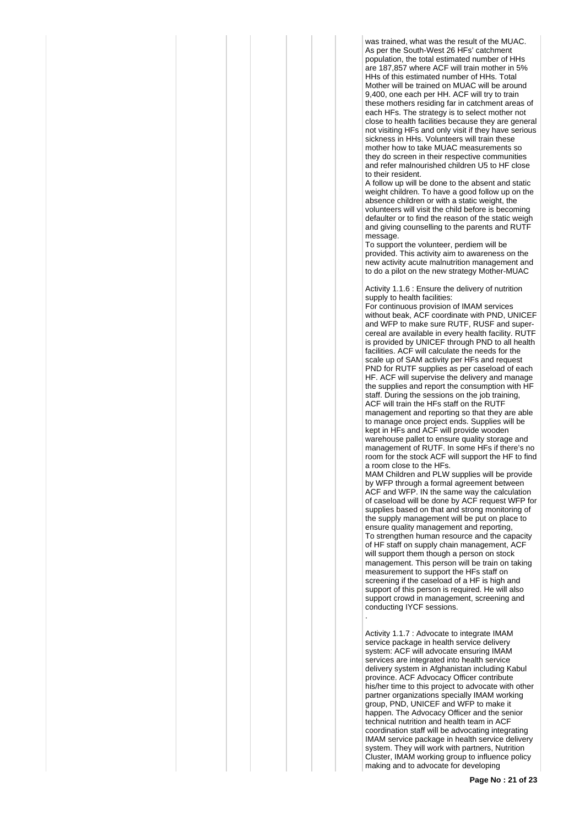was trained, what was the result of the MUAC. As per the South-West 26 HFs' catchment population, the total estimated number of HHs are 187,857 where ACF will train mother in 5% HHs of this estimated number of HHs. Total Mother will be trained on MUAC will be around 9,400, one each per HH. ACF will try to train these mothers residing far in catchment areas of each HFs. The strategy is to select mother not close to health facilities because they are general not visiting HFs and only visit if they have serious sickness in HHs. Volunteers will train these mother how to take MUAC measurements so they do screen in their respective communities and refer malnourished children U5 to HF close to their resident.

A follow up will be done to the absent and static weight children. To have a good follow up on the absence children or with a static weight, the volunteers will visit the child before is becoming defaulter or to find the reason of the static weigh and giving counselling to the parents and RUTF message.

To support the volunteer, perdiem will be provided. This activity aim to awareness on the new activity acute malnutrition management and to do a pilot on the new strategy Mother-MUAC

Activity 1.1.6 : Ensure the delivery of nutrition supply to health facilities:

For continuous provision of IMAM services without beak, ACF coordinate with PND, UNICEF and WFP to make sure RUTF, RUSF and supercereal are available in every health facility. RUTF is provided by UNICEF through PND to all health facilities. ACF will calculate the needs for the scale up of SAM activity per HFs and request PND for RUTF supplies as per caseload of each HF. ACF will supervise the delivery and manage the supplies and report the consumption with HF staff. During the sessions on the job training, ACF will train the HFs staff on the RUTF management and reporting so that they are able to manage once project ends. Supplies will be kept in HFs and ACF will provide wooden warehouse pallet to ensure quality storage and management of RUTF. In some HFs if there's no room for the stock ACF will support the HF to find a room close to the HFs.

MAM Children and PLW supplies will be provide by WFP through a formal agreement between ACF and WFP. IN the same way the calculation of caseload will be done by ACF request WFP for supplies based on that and strong monitoring of the supply management will be put on place to ensure quality management and reporting, To strengthen human resource and the capacity of HF staff on supply chain management, ACF will support them though a person on stock management. This person will be train on taking measurement to support the HFs staff on screening if the caseload of a HF is high and support of this person is required. He will also support crowd in management, screening and conducting IYCF sessions. .

Activity 1.1.7 : Advocate to integrate IMAM service package in health service delivery system: ACF will advocate ensuring IMAM services are integrated into health service delivery system in Afghanistan including Kabul province. ACF Advocacy Officer contribute his/her time to this project to advocate with other partner organizations specially IMAM working group, PND, UNICEF and WFP to make it happen. The Advocacy Officer and the senior technical nutrition and health team in ACF coordination staff will be advocating integrating IMAM service package in health service delivery system. They will work with partners, Nutrition Cluster, IMAM working group to influence policy making and to advocate for developing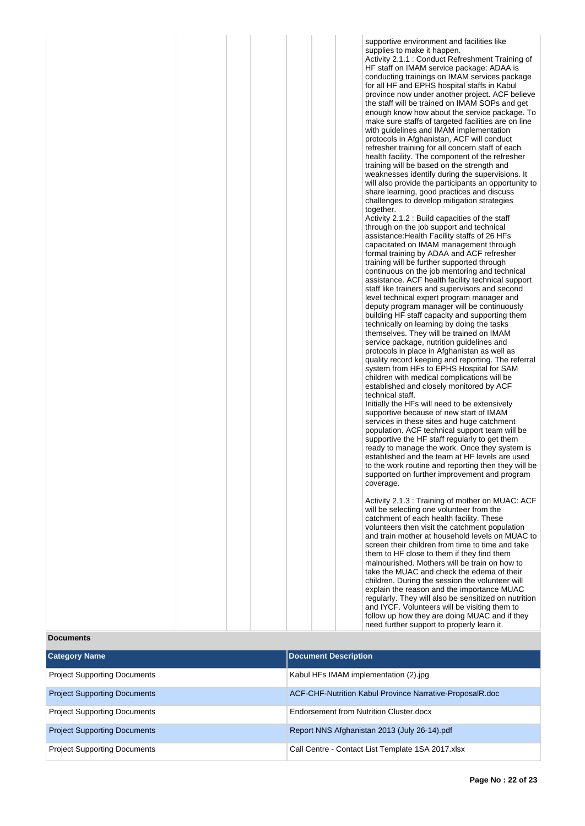|  | supportive environment and facilities like<br>supplies to make it happen.<br>Activity 2.1.1 : Conduct Refreshment Training of<br>HF staff on IMAM service package: ADAA is<br>conducting trainings on IMAM services package<br>for all HF and EPHS hospital staffs in Kabul<br>province now under another project. ACF believe<br>the staff will be trained on IMAM SOPs and get<br>enough know how about the service package. To<br>make sure staffs of targeted facilities are on line<br>with guidelines and IMAM implementation<br>protocols in Afghanistan, ACF will conduct<br>refresher training for all concern staff of each<br>health facility. The component of the refresher<br>training will be based on the strength and<br>weaknesses identify during the supervisions. It<br>will also provide the participants an opportunity to<br>share learning, good practices and discuss<br>challenges to develop mitigation strategies<br>together. |
|--|-------------------------------------------------------------------------------------------------------------------------------------------------------------------------------------------------------------------------------------------------------------------------------------------------------------------------------------------------------------------------------------------------------------------------------------------------------------------------------------------------------------------------------------------------------------------------------------------------------------------------------------------------------------------------------------------------------------------------------------------------------------------------------------------------------------------------------------------------------------------------------------------------------------------------------------------------------------|
|  | Activity 2.1.2 : Build capacities of the staff<br>through on the job support and technical<br>assistance: Health Facility staffs of 26 HFs<br>capacitated on IMAM management through<br>formal training by ADAA and ACF refresher<br>training will be further supported through<br>continuous on the job mentoring and technical<br>assistance. ACF health facility technical support<br>staff like trainers and supervisors and second<br>level technical expert program manager and<br>deputy program manager will be continuously<br>building HF staff capacity and supporting them<br>technically on learning by doing the tasks                                                                                                                                                                                                                                                                                                                        |
|  | themselves. They will be trained on IMAM<br>service package, nutrition guidelines and<br>protocols in place in Afghanistan as well as<br>quality record keeping and reporting. The referral<br>system from HFs to EPHS Hospital for SAM<br>children with medical complications will be<br>established and closely monitored by ACF<br>technical staff.<br>Initially the HFs will need to be extensively<br>supportive because of new start of IMAM<br>services in these sites and huge catchment<br>population. ACF technical support team will be<br>supportive the HF staff regularly to get them<br>ready to manage the work. Once they system is<br>established and the team at HF levels are used<br>to the work routine and reporting then they will be<br>supported on further improvement and program                                                                                                                                               |
|  | coverage.<br>Activity 2.1.3 : Training of mother on MUAC: ACF<br>will be selecting one volunteer from the<br>catchment of each health facility. These<br>volunteers then visit the catchment population<br>and train mother at household levels on MUAC to<br>screen their children from time to time and take<br>them to HF close to them if they find them<br>malnourished. Mothers will be train on how to<br>take the MUAC and check the edema of their<br>children. During the session the volunteer will<br>explain the reason and the importance MUAC<br>regularly. They will also be sensitized on nutrition<br>and IYCF. Volunteers will be visiting them to                                                                                                                                                                                                                                                                                       |

**Documents**

| <b>Category Name</b>                | <b>Document Description</b>                              |
|-------------------------------------|----------------------------------------------------------|
| <b>Project Supporting Documents</b> | Kabul HFs IMAM implementation (2) ipq                    |
| <b>Project Supporting Documents</b> | ACF-CHF-Nutrition Kabul Province Narrative-ProposalR.doc |
| <b>Project Supporting Documents</b> | Endorsement from Nutrition Cluster.docx                  |
| <b>Project Supporting Documents</b> | Report NNS Afghanistan 2013 (July 26-14).pdf             |
| <b>Project Supporting Documents</b> | Call Centre - Contact List Template 1SA 2017.xlsx        |

follow up how they are doing MUAC and if they need further support to properly learn it.